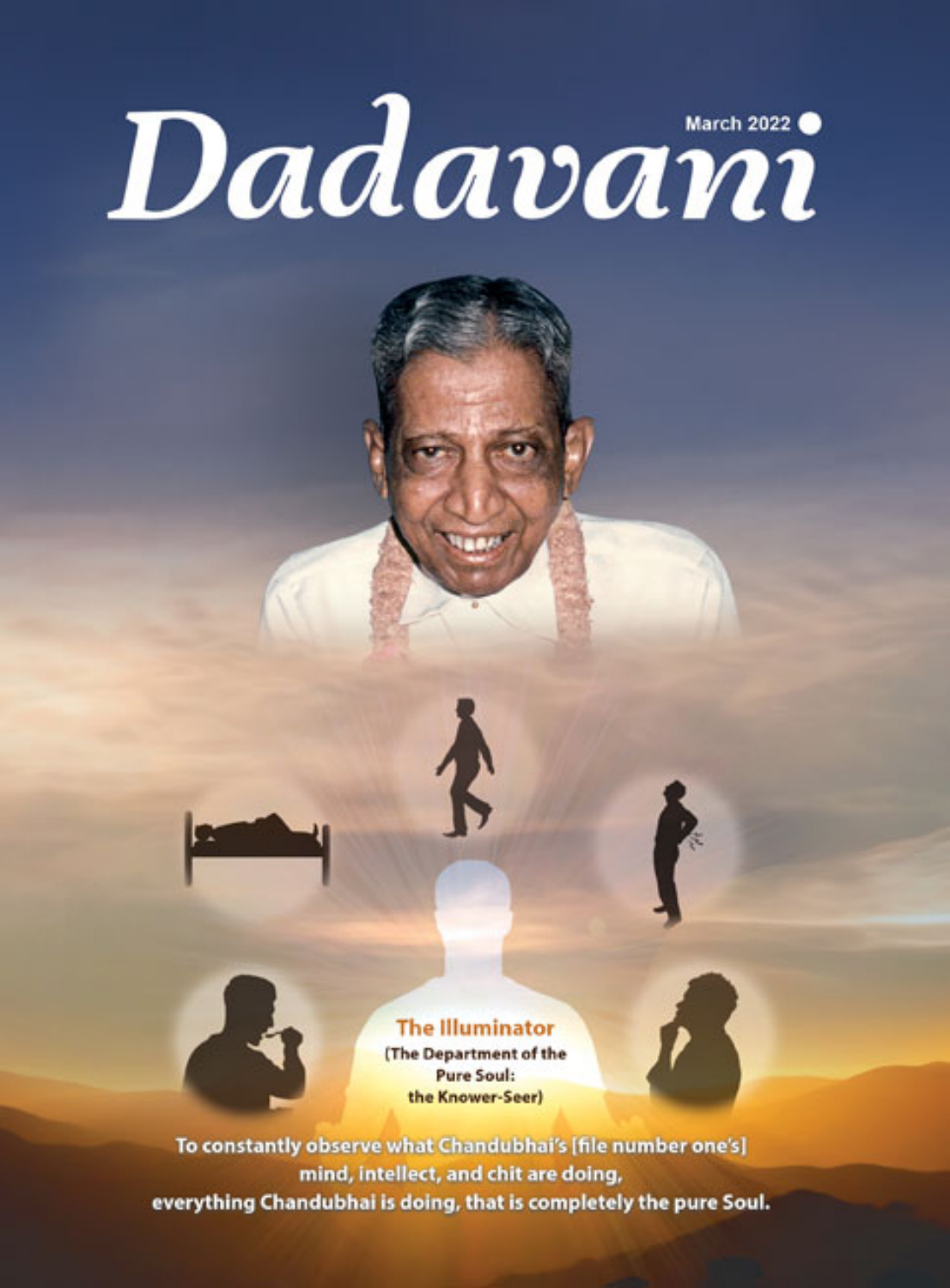# Dadavani





(The Department of the **Pure Soul:** the Knower-Seer)



F

To constantly observe what Chandubhai's [file number one's] mind, intellect, and chit are doing, everything Chandubhai is doing, that is completely the pure Soul.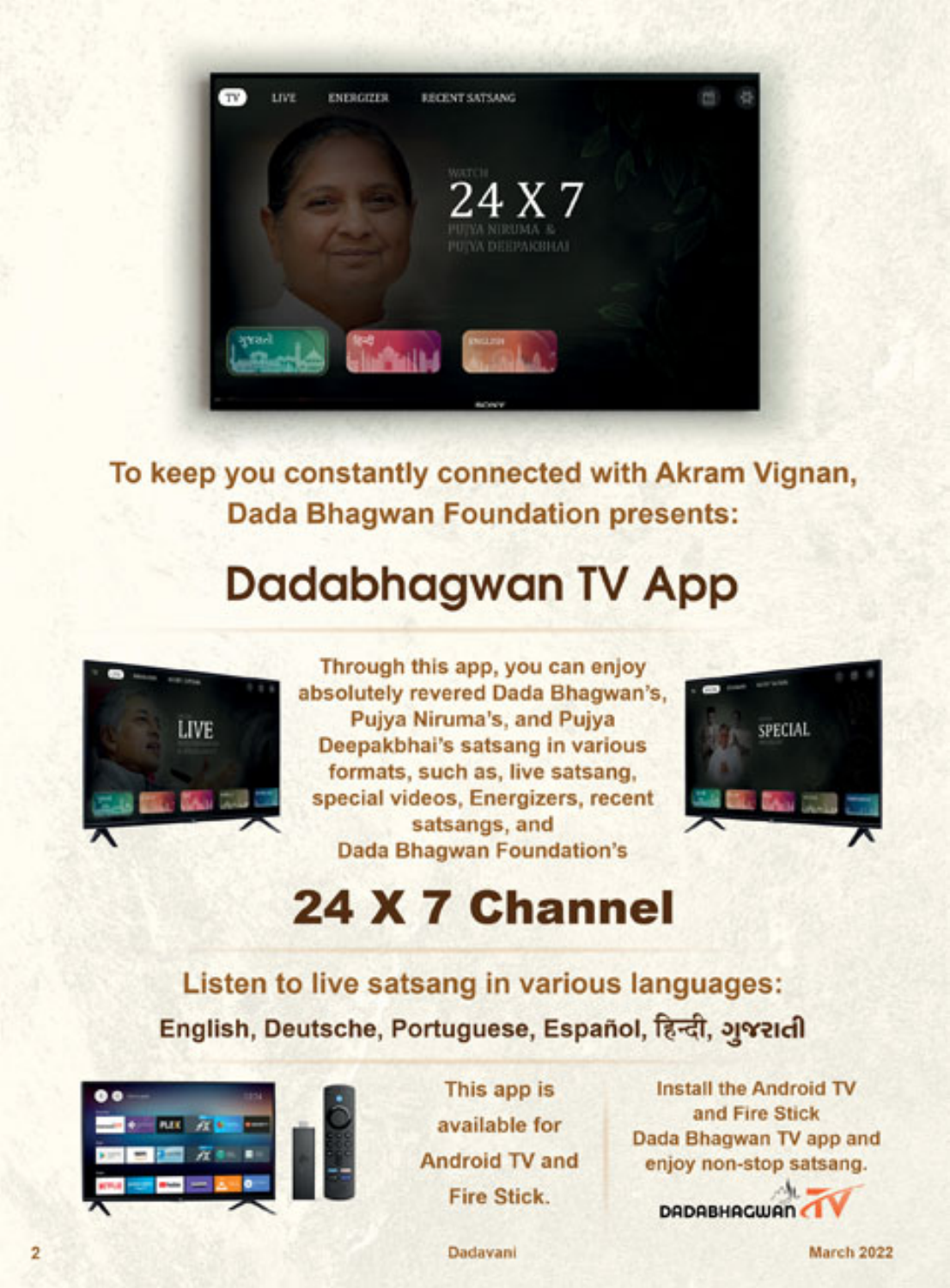

To keep you constantly connected with Akram Vignan, **Dada Bhagwan Foundation presents:** 

# **Dadabhagwan TV App**



Through this app, you can enjoy absolutely revered Dada Bhagwan's, Pujya Niruma's, and Pujya Deepakbhai's satsang in various formats, such as, live satsang, special videos, Energizers, recent satsangs, and **Dada Bhagwan Foundation's** 



# 24 X 7 Channel

Listen to live satsang in various languages: English, Deutsche, Portuguese, Español, हिन्दी, अश्वराती





This app is available for **Android TV and Fire Stick.** 

**Install the Android TV** and Fire Stick Dada Bhagwan TV app and enjoy non-stop satsang.

**DADABHAGWAN** 

Dadavani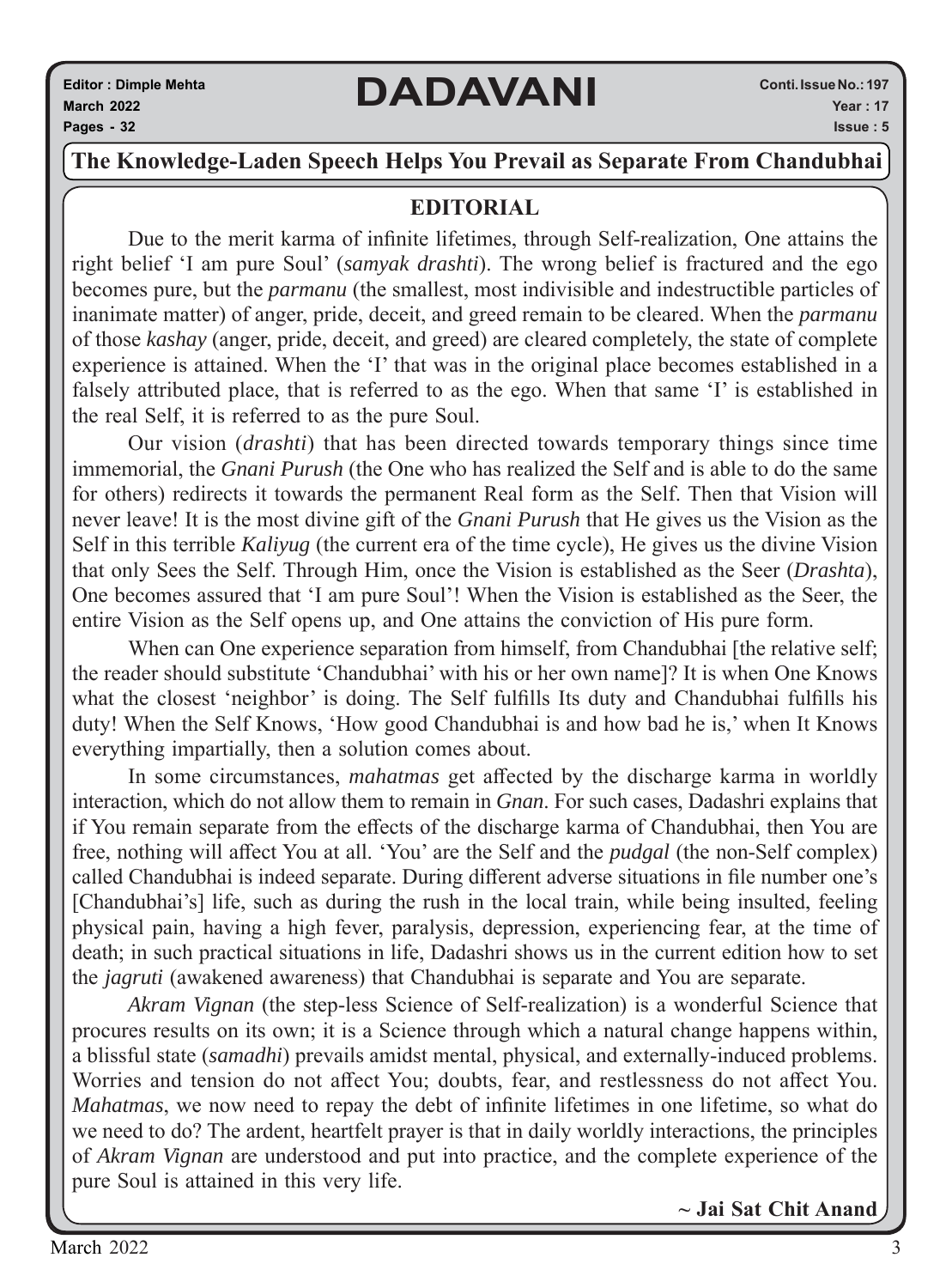#### **The Knowledge-Laden Speech Helps You Prevail as Separate From Chandubhai**

#### **EDITORIAL**

Due to the merit karma of infinite lifetimes, through Self-realization, One attains the right belief 'I am pure Soul' (*samyak drashti*). The wrong belief is fractured and the ego becomes pure, but the *parmanu* (the smallest, most indivisible and indestructible particles of inanimate matter) of anger, pride, deceit, and greed remain to be cleared. When the *parmanu*  of those *kashay* (anger, pride, deceit, and greed) are cleared completely, the state of complete experience is attained. When the 'I' that was in the original place becomes established in a falsely attributed place, that is referred to as the ego. When that same 'I' is established in the real Self, it is referred to as the pure Soul.

Our vision (*drashti*) that has been directed towards temporary things since time immemorial, the *Gnani Purush* (the One who has realized the Self and is able to do the same for others) redirects it towards the permanent Real form as the Self. Then that Vision will never leave! It is the most divine gift of the *Gnani Purush* that He gives us the Vision as the Self in this terrible *Kaliyug* (the current era of the time cycle), He gives us the divine Vision that only Sees the Self. Through Him, once the Vision is established as the Seer (*Drashta*), One becomes assured that 'I am pure Soul'! When the Vision is established as the Seer, the entire Vision as the Self opens up, and One attains the conviction of His pure form.

When can One experience separation from himself, from Chandubhai [the relative self; the reader should substitute 'Chandubhai' with his or her own name]? It is when One Knows what the closest 'neighbor' is doing. The Self fulfills Its duty and Chandubhai fulfills his duty! When the Self Knows, 'How good Chandubhai is and how bad he is,' when It Knows everything impartially, then a solution comes about.

In some circumstances, *mahatmas* get affected by the discharge karma in worldly interaction, which do not allow them to remain in *Gnan*. For such cases, Dadashri explains that if You remain separate from the effects of the discharge karma of Chandubhai, then You are free, nothing will affect You at all. 'You' are the Self and the *pudgal* (the non-Self complex) called Chandubhai is indeed separate. During different adverse situations in file number one's [Chandubhai's] life, such as during the rush in the local train, while being insulted, feeling physical pain, having a high fever, paralysis, depression, experiencing fear, at the time of death; in such practical situations in life, Dadashri shows us in the current edition how to set the *jagruti* (awakened awareness) that Chandubhai is separate and You are separate.

*Akram Vignan* (the step-less Science of Self-realization) is a wonderful Science that procures results on its own; it is a Science through which a natural change happens within, a blissful state (*samadhi*) prevails amidst mental, physical, and externally-induced problems. Worries and tension do not affect You; doubts, fear, and restlessness do not affect You. *Mahatmas*, we now need to repay the debt of infinite lifetimes in one lifetime, so what do we need to do? The ardent, heartfelt prayer is that in daily worldly interactions, the principles of *Akram Vignan* are understood and put into practice, and the complete experience of the pure Soul is attained in this very life.

**~ Jai Sat Chit Anand**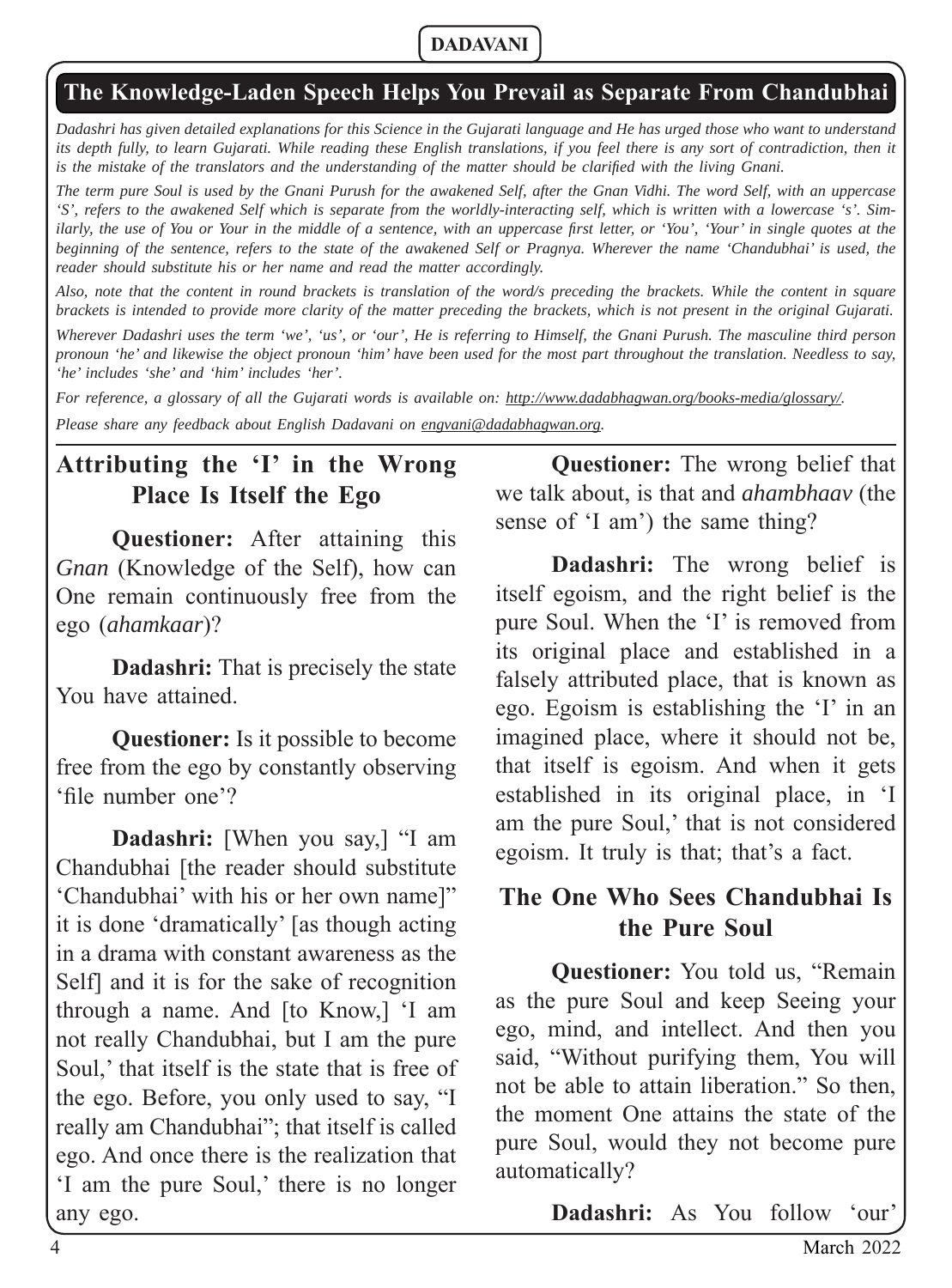#### **The Knowledge-Laden Speech Helps You Prevail as Separate From Chandubhai**

*Dadashri has given detailed explanations for this Science in the Gujarati language and He has urged those who want to understand*  its depth fully, to learn Gujarati. While reading these English translations, if you feel there is any sort of contradiction, then it *is the mistake of the translators and the understanding of the matter should be clarified with the living Gnani.* 

*The term pure Soul is used by the Gnani Purush for the awakened Self, after the Gnan Vidhi. The word Self, with an uppercase 'S', refers to the awakened Self which is separate from the worldly-interacting self, which is written with a lowercase 's'. Similarly, the use of You or Your in the middle of a sentence, with an uppercase first letter, or 'You', 'Your' in single quotes at the beginning of the sentence, refers to the state of the awakened Self or Pragnya. Wherever the name 'Chandubhai' is used, the reader should substitute his or her name and read the matter accordingly.* 

*Also, note that the content in round brackets is translation of the word/s preceding the brackets. While the content in square brackets is intended to provide more clarity of the matter preceding the brackets, which is not present in the original Gujarati.* 

*Wherever Dadashri uses the term 'we', 'us', or 'our', He is referring to Himself, the Gnani Purush. The masculine third person pronoun 'he' and likewise the object pronoun 'him' have been used for the most part throughout the translation. Needless to say, 'he' includes 'she' and 'him' includes 'her'.*

*For reference, a glossary of all the Gujarati words is available on: http://www.dadabhagwan.org/books-media/glossary/.* 

*Please share any feedback about English Dadavani on engvani@dadabhagwan.org.*

# **Attributing the 'I' in the Wrong Place Is Itself the Ego**

**Questioner:** After attaining this *Gnan* (Knowledge of the Self), how can One remain continuously free from the ego (*ahamkaar*)?

**Dadashri:** That is precisely the state You have attained.

**Questioner:** Is it possible to become free from the ego by constantly observing 'file number one'?

**Dadashri:** [When you say,] "I am Chandubhai [the reader should substitute 'Chandubhai' with his or her own name]" it is done 'dramatically' [as though acting in a drama with constant awareness as the Self] and it is for the sake of recognition through a name. And [to Know,] 'I am not really Chandubhai, but I am the pure Soul,' that itself is the state that is free of the ego. Before, you only used to say, "I really am Chandubhai"; that itself is called ego. And once there is the realization that 'I am the pure Soul,' there is no longer any ego.

**Questioner:** The wrong belief that we talk about, is that and *ahambhaav* (the sense of 'I am') the same thing?

**Dadashri:** The wrong belief is itself egoism, and the right belief is the pure Soul. When the 'I' is removed from its original place and established in a falsely attributed place, that is known as ego. Egoism is establishing the 'I' in an imagined place, where it should not be, that itself is egoism. And when it gets established in its original place, in 'I am the pure Soul,' that is not considered egoism. It truly is that; that's a fact.

#### **The One Who Sees Chandubhai Is the Pure Soul**

**Questioner:** You told us, "Remain as the pure Soul and keep Seeing your ego, mind, and intellect. And then you said, "Without purifying them, You will not be able to attain liberation." So then, the moment One attains the state of the pure Soul, would they not become pure automatically?

**Dadashri:** As You follow 'our'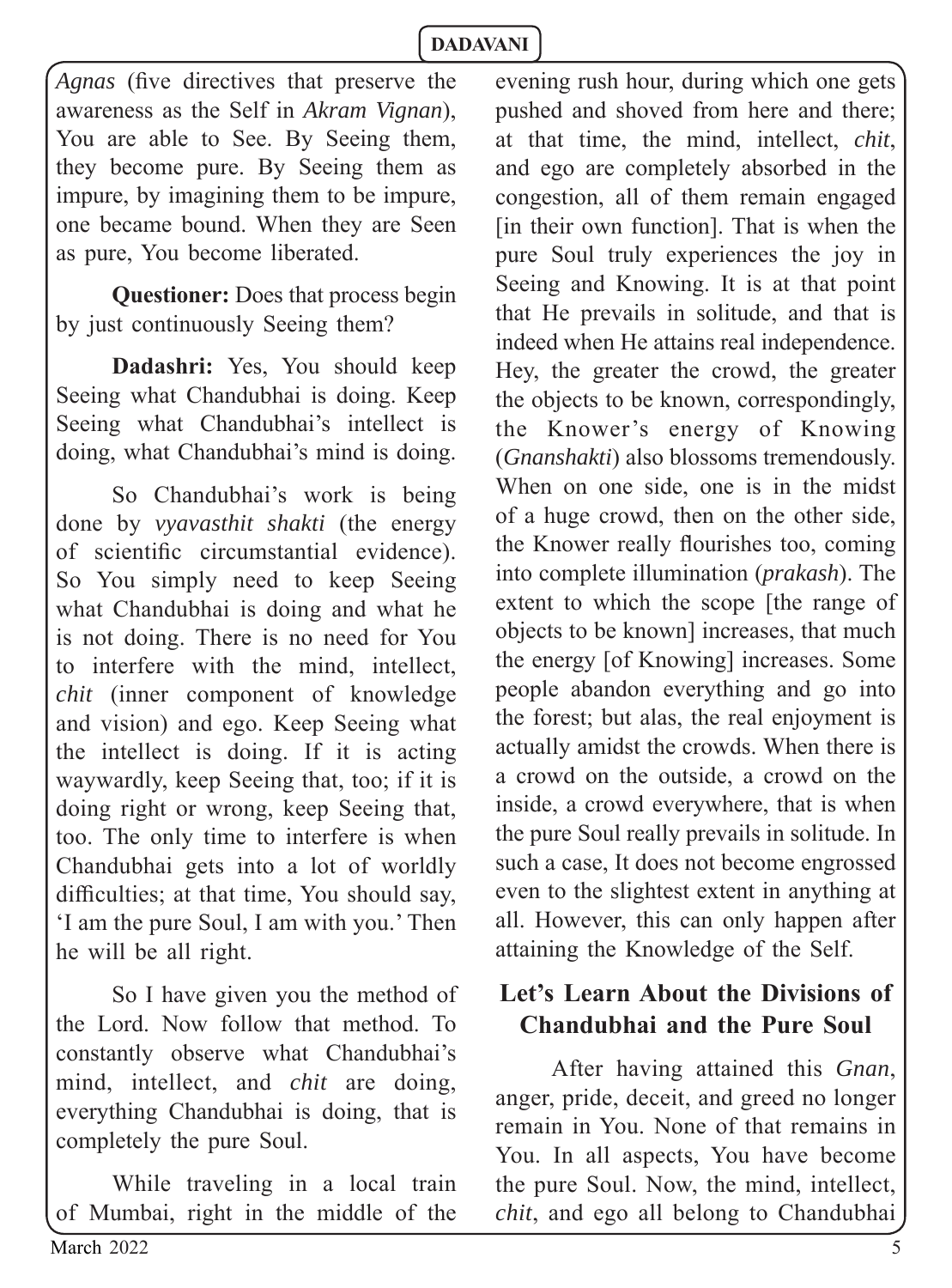*Agnas* (five directives that preserve the awareness as the Self in *Akram Vignan*), You are able to See. By Seeing them, they become pure. By Seeing them as impure, by imagining them to be impure, one became bound. When they are Seen as pure, You become liberated.

**Questioner:** Does that process begin by just continuously Seeing them?

**Dadashri:** Yes, You should keep Seeing what Chandubhai is doing. Keep Seeing what Chandubhai's intellect is doing, what Chandubhai's mind is doing.

So Chandubhai's work is being done by *vyavasthit shakti* (the energy of scientific circumstantial evidence). So You simply need to keep Seeing what Chandubhai is doing and what he is not doing. There is no need for You to interfere with the mind, intellect, *chit* (inner component of knowledge and vision) and ego. Keep Seeing what the intellect is doing. If it is acting waywardly, keep Seeing that, too; if it is doing right or wrong, keep Seeing that, too. The only time to interfere is when Chandubhai gets into a lot of worldly difficulties; at that time, You should say, 'I am the pure Soul, I am with you.' Then he will be all right.

So I have given you the method of the Lord. Now follow that method. To constantly observe what Chandubhai's mind, intellect, and *chit* are doing, everything Chandubhai is doing, that is completely the pure Soul.

While traveling in a local train of Mumbai, right in the middle of the evening rush hour, during which one gets pushed and shoved from here and there; at that time, the mind, intellect, *chit*, and ego are completely absorbed in the congestion, all of them remain engaged [in their own function]. That is when the pure Soul truly experiences the joy in Seeing and Knowing. It is at that point that He prevails in solitude, and that is indeed when He attains real independence. Hey, the greater the crowd, the greater the objects to be known, correspondingly, the Knower's energy of Knowing (*Gnanshakti*) also blossoms tremendously. When on one side, one is in the midst of a huge crowd, then on the other side, the Knower really flourishes too, coming into complete illumination (*prakash*). The extent to which the scope [the range of objects to be known] increases, that much the energy [of Knowing] increases. Some people abandon everything and go into the forest; but alas, the real enjoyment is actually amidst the crowds. When there is a crowd on the outside, a crowd on the inside, a crowd everywhere, that is when the pure Soul really prevails in solitude. In such a case, It does not become engrossed even to the slightest extent in anything at all. However, this can only happen after attaining the Knowledge of the Self.

# **Let's Learn About the Divisions of Chandubhai and the Pure Soul**

After having attained this *Gnan*, anger, pride, deceit, and greed no longer remain in You. None of that remains in You. In all aspects, You have become the pure Soul. Now, the mind, intellect, *chit*, and ego all belong to Chandubhai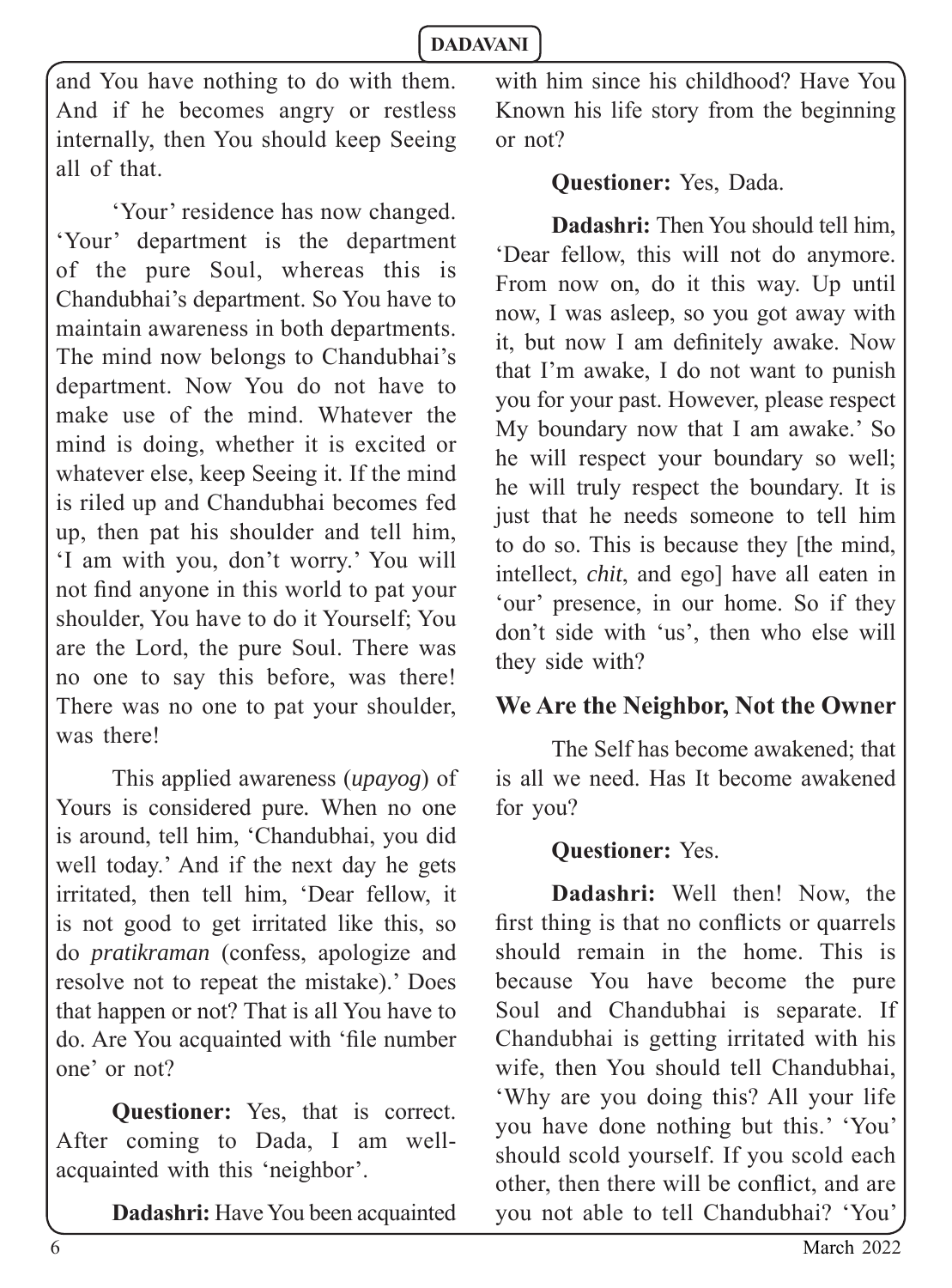and You have nothing to do with them. And if he becomes angry or restless internally, then You should keep Seeing all of that.

'Your' residence has now changed. 'Your' department is the department of the pure Soul, whereas this is Chandubhai's department. So You have to maintain awareness in both departments. The mind now belongs to Chandubhai's department. Now You do not have to make use of the mind. Whatever the mind is doing, whether it is excited or whatever else, keep Seeing it. If the mind is riled up and Chandubhai becomes fed up, then pat his shoulder and tell him, 'I am with you, don't worry.' You will not find anyone in this world to pat your shoulder, You have to do it Yourself; You are the Lord, the pure Soul. There was no one to say this before, was there! There was no one to pat your shoulder, was there!

This applied awareness (*upayog*) of Yours is considered pure*.* When no one is around, tell him, 'Chandubhai, you did well today.' And if the next day he gets irritated, then tell him, 'Dear fellow, it is not good to get irritated like this, so do *pratikraman* (confess, apologize and resolve not to repeat the mistake).' Does that happen or not? That is all You have to do. Are You acquainted with 'file number one' or not?

**Questioner:** Yes, that is correct. After coming to Dada, I am wellacquainted with this 'neighbor'.

**Dadashri:** Have You been acquainted

with him since his childhood? Have You Known his life story from the beginning or not?

#### **Questioner:** Yes, Dada.

**Dadashri:** Then You should tell him, 'Dear fellow, this will not do anymore. From now on, do it this way. Up until now, I was asleep, so you got away with it, but now I am definitely awake. Now that I'm awake, I do not want to punish you for your past. However, please respect My boundary now that I am awake.' So he will respect your boundary so well; he will truly respect the boundary. It is just that he needs someone to tell him to do so. This is because they [the mind, intellect, *chit*, and ego] have all eaten in 'our' presence, in our home. So if they don't side with 'us', then who else will they side with?

#### **We Are the Neighbor, Not the Owner**

The Self has become awakened; that is all we need. Has It become awakened for you?

#### **Questioner:** Yes.

**Dadashri:** Well then! Now, the first thing is that no conflicts or quarrels should remain in the home. This is because You have become the pure Soul and Chandubhai is separate. If Chandubhai is getting irritated with his wife, then You should tell Chandubhai, 'Why are you doing this? All your life you have done nothing but this.' 'You' should scold yourself. If you scold each other, then there will be conflict, and are you not able to tell Chandubhai? 'You'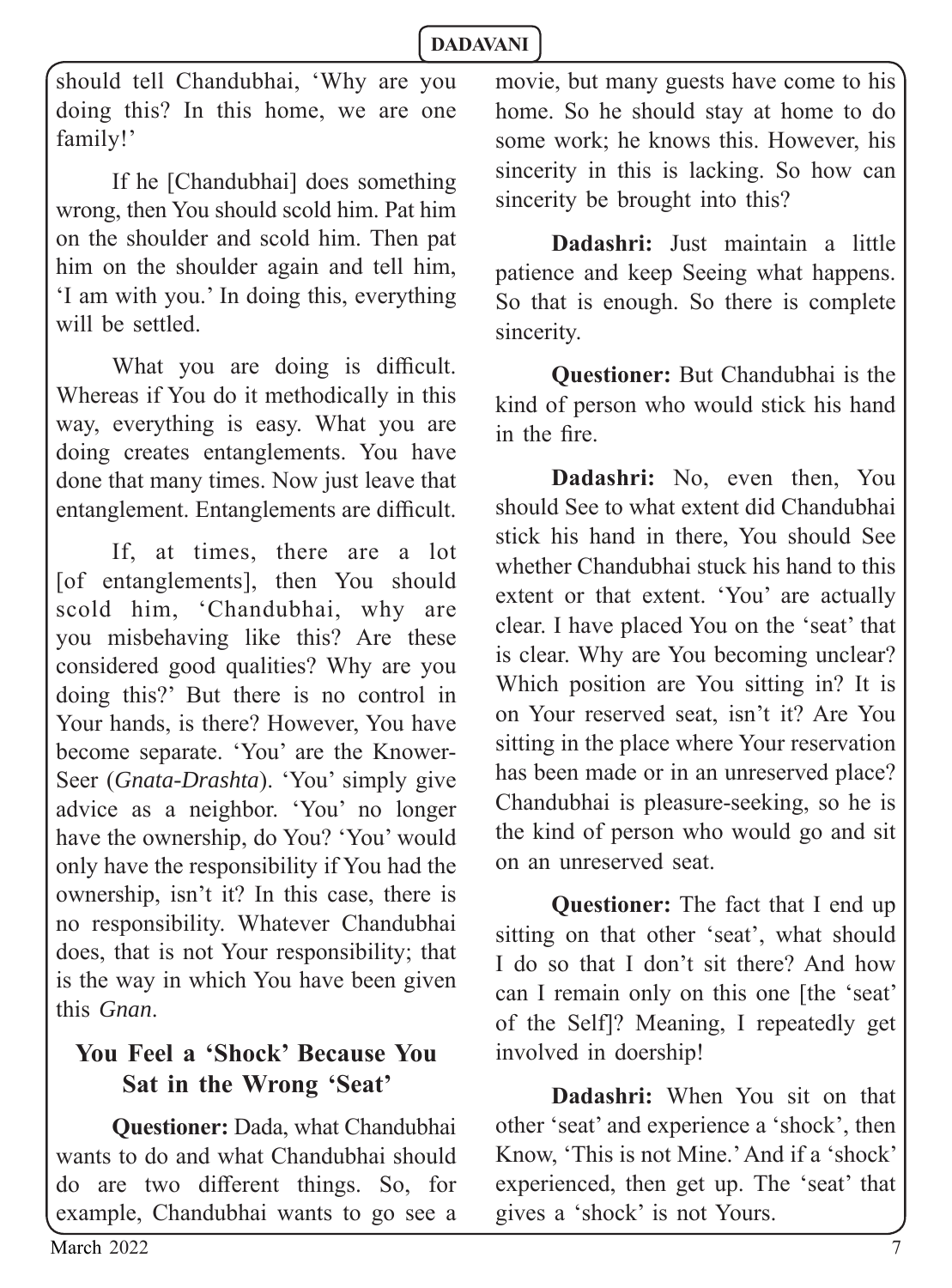should tell Chandubhai, 'Why are you doing this? In this home, we are one family!'

If he [Chandubhai] does something wrong, then You should scold him. Pat him on the shoulder and scold him. Then pat him on the shoulder again and tell him, 'I am with you.' In doing this, everything will be settled.

What you are doing is difficult. Whereas if You do it methodically in this way, everything is easy. What you are doing creates entanglements. You have done that many times. Now just leave that entanglement. Entanglements are difficult.

If, at times, there are a lot [of entanglements], then You should scold him, 'Chandubhai, why are you misbehaving like this? Are these considered good qualities? Why are you doing this?' But there is no control in Your hands, is there? However, You have become separate. 'You' are the Knower-Seer (*Gnata-Drashta*). 'You' simply give advice as a neighbor. 'You' no longer have the ownership, do You? 'You' would only have the responsibility if You had the ownership, isn't it? In this case, there is no responsibility. Whatever Chandubhai does, that is not Your responsibility; that is the way in which You have been given this *Gnan*.

# **You Feel a 'Shock' Because You Sat in the Wrong 'Seat'**

**Questioner:** Dada, what Chandubhai wants to do and what Chandubhai should do are two different things. So, for example, Chandubhai wants to go see a movie, but many guests have come to his home. So he should stay at home to do some work; he knows this. However, his sincerity in this is lacking. So how can sincerity be brought into this?

**Dadashri:** Just maintain a little patience and keep Seeing what happens. So that is enough. So there is complete sincerity.

**Questioner:** But Chandubhai is the kind of person who would stick his hand in the fire.

**Dadashri:** No, even then, You should See to what extent did Chandubhai stick his hand in there, You should See whether Chandubhai stuck his hand to this extent or that extent. 'You' are actually clear. I have placed You on the 'seat' that is clear. Why are You becoming unclear? Which position are You sitting in? It is on Your reserved seat, isn't it? Are You sitting in the place where Your reservation has been made or in an unreserved place? Chandubhai is pleasure-seeking, so he is the kind of person who would go and sit on an unreserved seat.

**Questioner:** The fact that I end up sitting on that other 'seat', what should I do so that I don't sit there? And how can I remain only on this one [the 'seat' of the Self]? Meaning, I repeatedly get involved in doership!

**Dadashri:** When You sit on that other 'seat' and experience a 'shock', then Know, 'This is not Mine.' And if a 'shock' experienced, then get up. The 'seat' that gives a 'shock' is not Yours.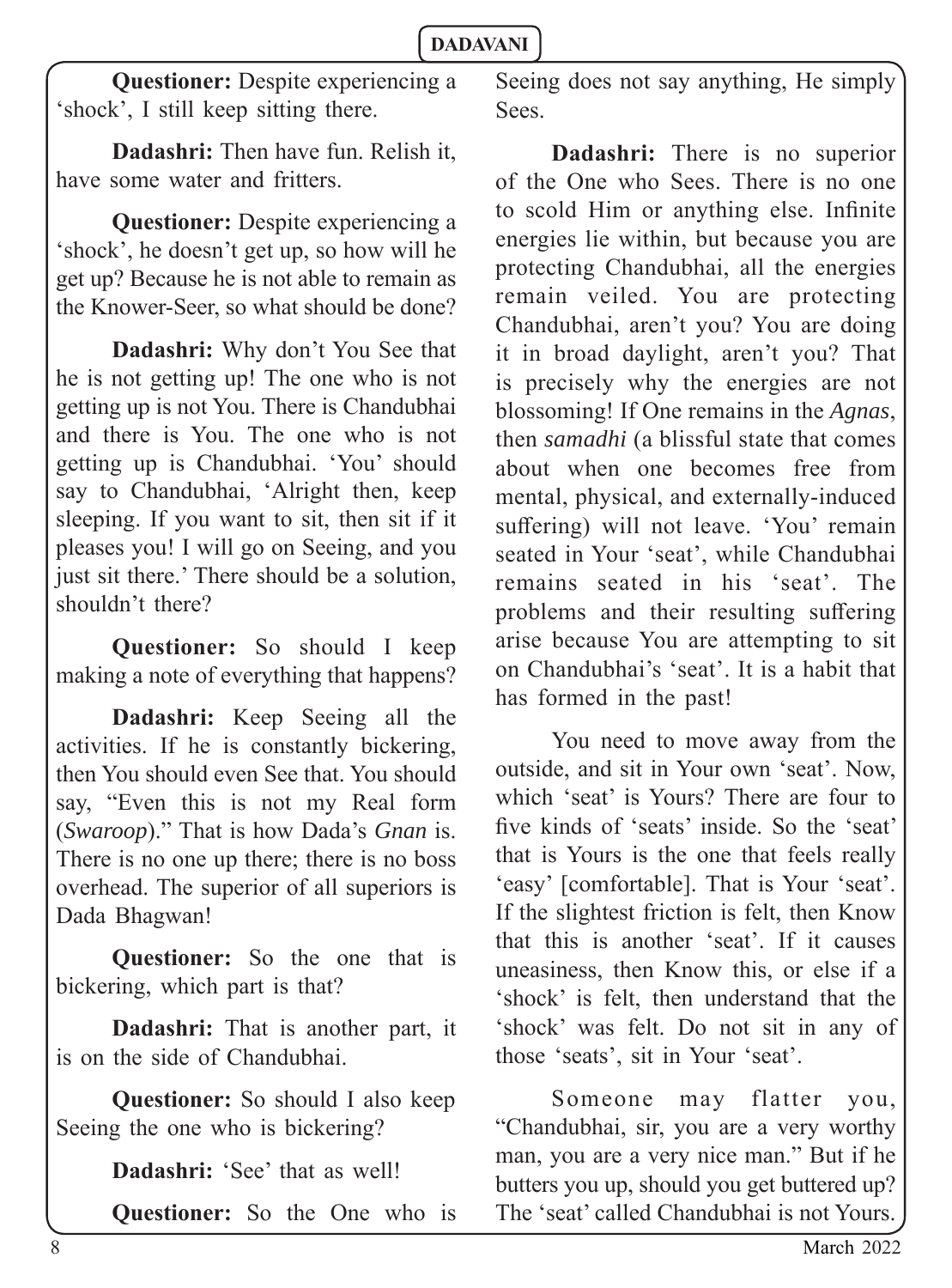**Questioner:** Despite experiencing a 'shock', I still keep sitting there.

**Dadashri:** Then have fun. Relish it, have some water and fritters.

**Questioner:** Despite experiencing a 'shock', he doesn't get up, so how will he get up? Because he is not able to remain as the Knower-Seer, so what should be done?

**Dadashri:** Why don't You See that he is not getting up! The one who is not getting up is not You. There is Chandubhai and there is You. The one who is not getting up is Chandubhai. 'You' should say to Chandubhai, 'Alright then, keep sleeping. If you want to sit, then sit if it pleases you! I will go on Seeing, and you just sit there.' There should be a solution, shouldn't there?

**Questioner:** So should I keep making a note of everything that happens?

**Dadashri:** Keep Seeing all the activities. If he is constantly bickering, then You should even See that. You should say, "Even this is not my Real form (*Swaroop*)." That is how Dada's *Gnan* is. There is no one up there; there is no boss overhead. The superior of all superiors is Dada Bhagwan!

**Questioner:** So the one that is bickering, which part is that?

**Dadashri:** That is another part, it is on the side of Chandubhai.

**Questioner:** So should I also keep Seeing the one who is bickering?

**Dadashri:** 'See' that as well!

**Questioner:** So the One who is

Seeing does not say anything, He simply Sees.

**Dadashri:** There is no superior of the One who Sees. There is no one to scold Him or anything else. Infinite energies lie within, but because you are protecting Chandubhai, all the energies remain veiled. You are protecting Chandubhai, aren't you? You are doing it in broad daylight, aren't you? That is precisely why the energies are not blossoming! If One remains in the *Agnas*, then *samadhi* (a blissful state that comes about when one becomes free from mental, physical, and externally-induced suffering) will not leave. 'You' remain seated in Your 'seat', while Chandubhai remains seated in his 'seat'. The problems and their resulting suffering arise because You are attempting to sit on Chandubhai's 'seat'. It is a habit that has formed in the past!

You need to move away from the outside, and sit in Your own 'seat'. Now, which 'seat' is Yours? There are four to five kinds of 'seats' inside. So the 'seat' that is Yours is the one that feels really 'easy' [comfortable]. That is Your 'seat'. If the slightest friction is felt, then Know that this is another 'seat'. If it causes uneasiness, then Know this, or else if a 'shock' is felt, then understand that the 'shock' was felt. Do not sit in any of those 'seats', sit in Your 'seat'.

Someone may flatter you, "Chandubhai, sir, you are a very worthy man, you are a very nice man." But if he butters you up, should you get buttered up? The 'seat' called Chandubhai is not Yours.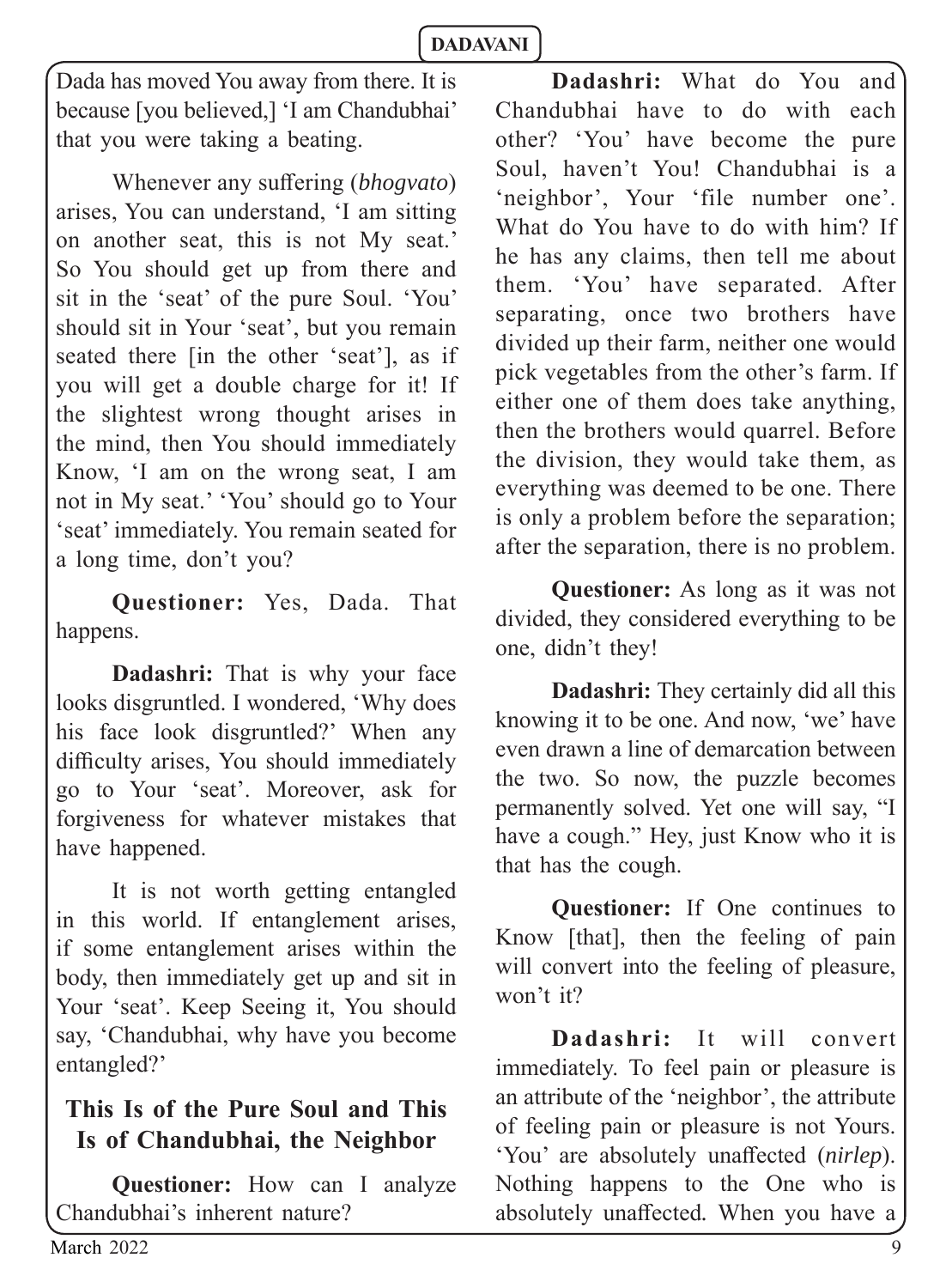Dada has moved You away from there. It is because [you believed,] 'I am Chandubhai' that you were taking a beating.

Whenever any suffering *(bhogvato)* arises, You can understand, 'I am sitting on another seat, this is not My seat.' So You should get up from there and sit in the 'seat' of the pure Soul. 'You' should sit in Your 'seat', but you remain seated there [in the other 'seat'], as if you will get a double charge for it! If the slightest wrong thought arises in the mind, then You should immediately Know, 'I am on the wrong seat, I am not in My seat.' 'You' should go to Your 'seat' immediately. You remain seated for a long time, don't you?

**Questioner:** Yes, Dada. That happens.

**Dadashri:** That is why your face looks disgruntled. I wondered, 'Why does his face look disgruntled?' When any difficulty arises, You should immediately go to Your 'seat'. Moreover, ask for forgiveness for whatever mistakes that have happened.

It is not worth getting entangled in this world. If entanglement arises, if some entanglement arises within the body, then immediately get up and sit in Your 'seat'. Keep Seeing it, You should say, 'Chandubhai, why have you become entangled?'

# **This Is of the Pure Soul and This Is of Chandubhai, the Neighbor**

**Questioner:** How can I analyze Chandubhai's inherent nature?

**Dadashri:** What do You and Chandubhai have to do with each other? 'You' have become the pure Soul, haven't You! Chandubhai is a 'neighbor', Your 'file number one'. What do You have to do with him? If he has any claims, then tell me about them. 'You' have separated. After separating, once two brothers have divided up their farm, neither one would pick vegetables from the other's farm. If either one of them does take anything, then the brothers would quarrel. Before the division, they would take them, as everything was deemed to be one. There is only a problem before the separation; after the separation, there is no problem.

**Questioner:** As long as it was not divided, they considered everything to be one, didn't they!

**Dadashri:** They certainly did all this knowing it to be one. And now, 'we' have even drawn a line of demarcation between the two. So now, the puzzle becomes permanently solved. Yet one will say, "I have a cough." Hey, just Know who it is that has the cough.

**Questioner:** If One continues to Know [that], then the feeling of pain will convert into the feeling of pleasure, won't it?

**Dadashri:** It will convert immediately. To feel pain or pleasure is an attribute of the 'neighbor', the attribute of feeling pain or pleasure is not Yours. 'You' are absolutely unaffected *(nirlep)*. Nothing happens to the One who is absolutely unaffected. When you have a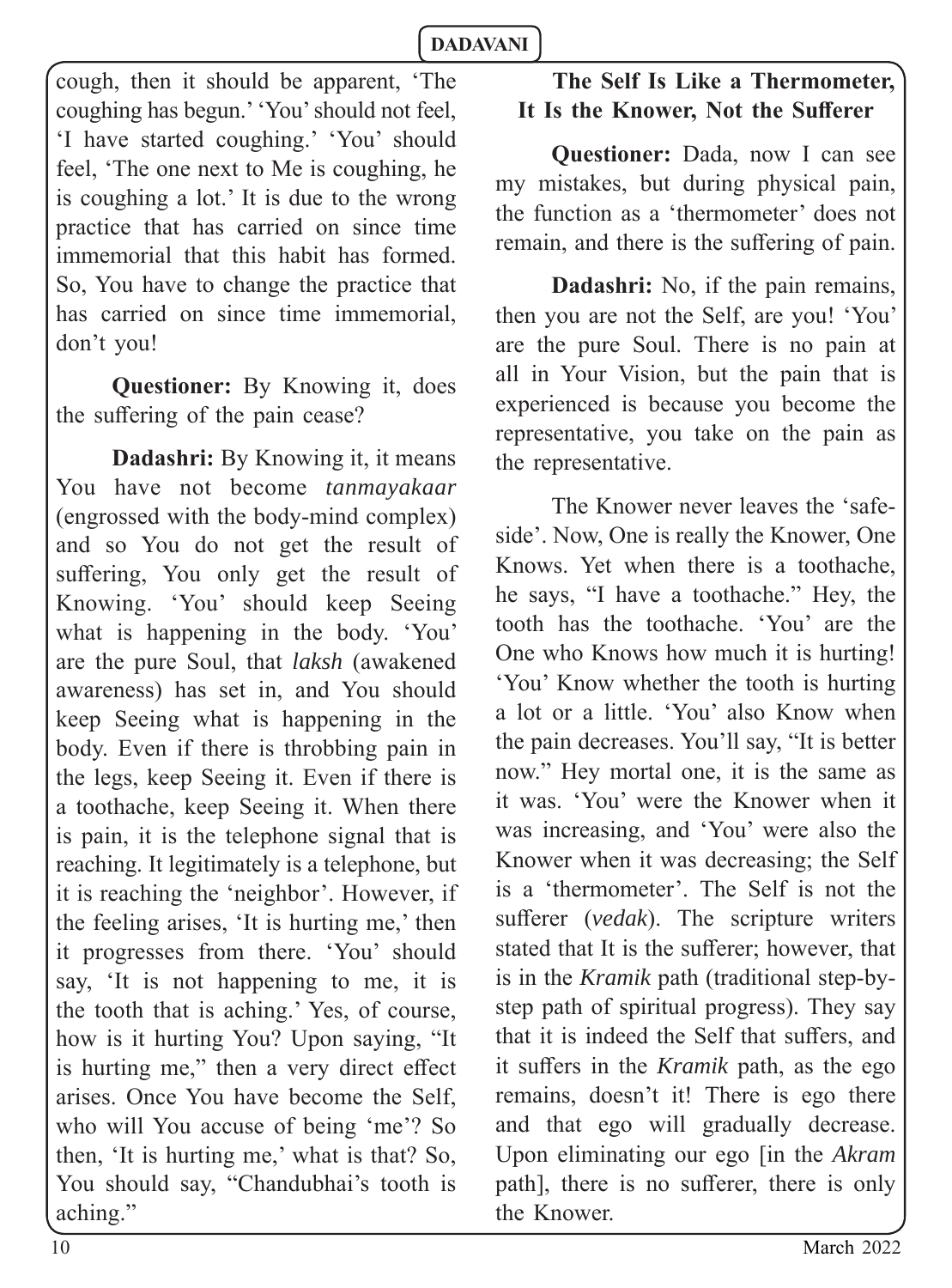cough, then it should be apparent, 'The coughing has begun.' 'You' should not feel, 'I have started coughing.' 'You' should feel, 'The one next to Me is coughing, he is coughing a lot.' It is due to the wrong practice that has carried on since time immemorial that this habit has formed. So, You have to change the practice that has carried on since time immemorial, don't you!

**Questioner:** By Knowing it, does the suffering of the pain cease?

**Dadashri:** By Knowing it, it means You have not become *tanmayakaar* (engrossed with the body-mind complex) and so You do not get the result of suffering, You only get the result of Knowing. 'You' should keep Seeing what is happening in the body. 'You' are the pure Soul, that *laksh* (awakened awareness) has set in, and You should keep Seeing what is happening in the body. Even if there is throbbing pain in the legs, keep Seeing it. Even if there is a toothache, keep Seeing it. When there is pain, it is the telephone signal that is reaching. It legitimately is a telephone, but it is reaching the 'neighbor'. However, if the feeling arises, 'It is hurting me,' then it progresses from there. 'You' should say, 'It is not happening to me, it is the tooth that is aching.' Yes, of course, how is it hurting You? Upon saying, "It is hurting me," then a very direct effect arises. Once You have become the Self, who will You accuse of being 'me'? So then, 'It is hurting me,' what is that? So, You should say, "Chandubhai's tooth is aching."

# **The Self Is Like a Thermometer,**  It Is the Knower, Not the Sufferer

**Questioner:** Dada, now I can see my mistakes, but during physical pain, the function as a 'thermometer' does not remain, and there is the suffering of pain.

**Dadashri:** No, if the pain remains, then you are not the Self, are you! 'You' are the pure Soul. There is no pain at all in Your Vision, but the pain that is experienced is because you become the representative, you take on the pain as the representative.

The Knower never leaves the 'safeside'. Now, One is really the Knower, One Knows. Yet when there is a toothache, he says, "I have a toothache." Hey, the tooth has the toothache. 'You' are the One who Knows how much it is hurting! 'You' Know whether the tooth is hurting a lot or a little. 'You' also Know when the pain decreases. You'll say, "It is better now." Hey mortal one, it is the same as it was. 'You' were the Knower when it was increasing, and 'You' were also the Knower when it was decreasing; the Self is a 'thermometer'. The Self is not the sufferer (*vedak*). The scripture writers stated that It is the sufferer; however, that is in the *Kramik* path (traditional step-bystep path of spiritual progress). They say that it is indeed the Self that suffers, and it suffers in the *Kramik* path, as the ego remains, doesn't it! There is ego there and that ego will gradually decrease. Upon eliminating our ego [in the *Akram* path], there is no sufferer, there is only the Knower.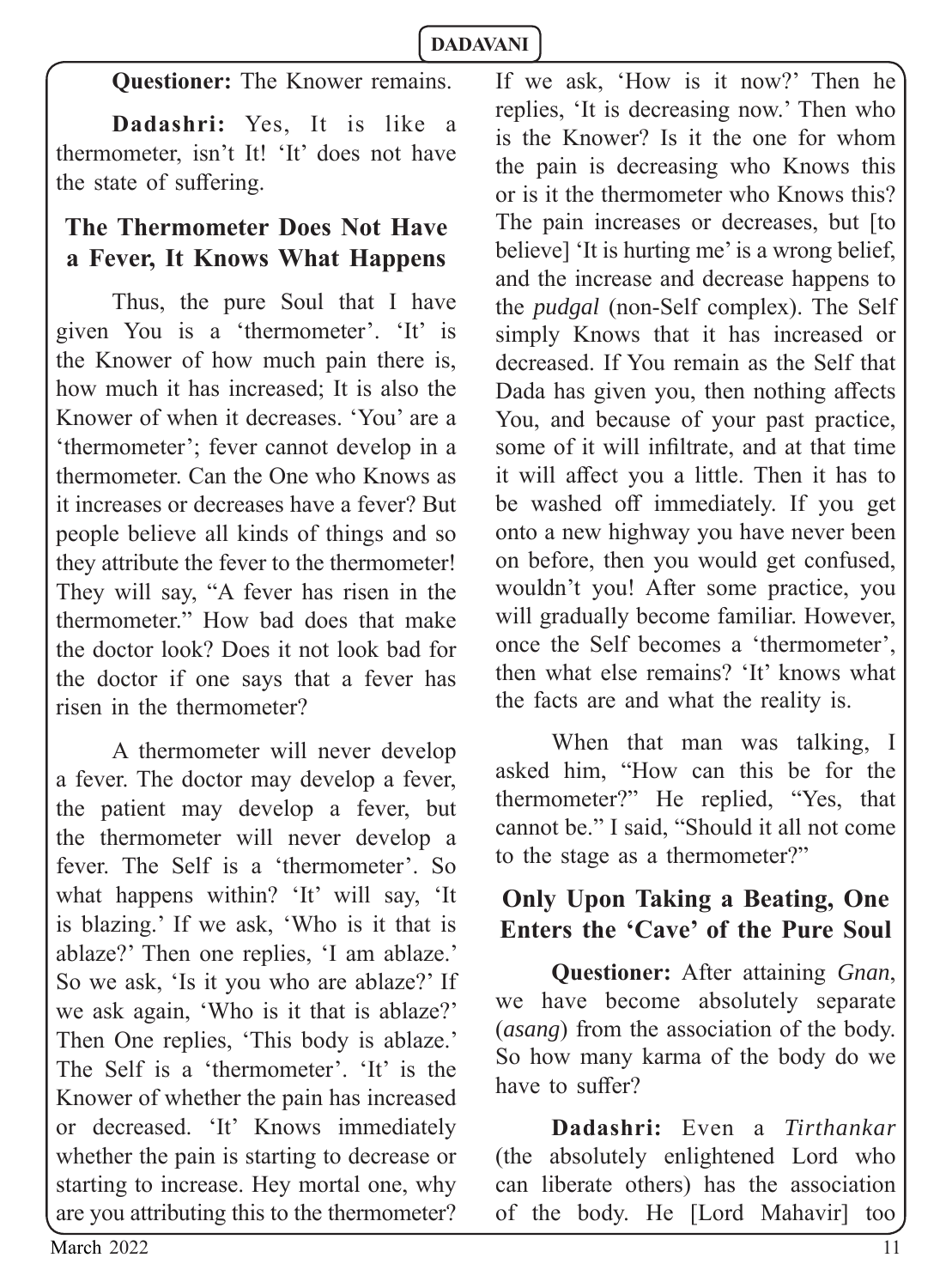**Questioner:** The Knower remains.

**Dadashri:** Yes, It is like a thermometer, isn't It! 'It' does not have the state of suffering.

# **The Thermometer Does Not Have a Fever, It Knows What Happens**

Thus, the pure Soul that I have given You is a 'thermometer'. 'It' is the Knower of how much pain there is, how much it has increased; It is also the Knower of when it decreases. 'You' are a 'thermometer'; fever cannot develop in a thermometer. Can the One who Knows as it increases or decreases have a fever? But people believe all kinds of things and so they attribute the fever to the thermometer! They will say, "A fever has risen in the thermometer." How bad does that make the doctor look? Does it not look bad for the doctor if one says that a fever has risen in the thermometer?

A thermometer will never develop a fever. The doctor may develop a fever, the patient may develop a fever, but the thermometer will never develop a fever. The Self is a 'thermometer'. So what happens within? 'It' will say, 'It' is blazing.' If we ask, 'Who is it that is ablaze?' Then one replies, 'I am ablaze.' So we ask, 'Is it you who are ablaze?' If we ask again, 'Who is it that is ablaze?' Then One replies, 'This body is ablaze.' The Self is a 'thermometer'. 'It' is the Knower of whether the pain has increased or decreased. 'It' Knows immediately whether the pain is starting to decrease or starting to increase. Hey mortal one, why are you attributing this to the thermometer?

If we ask, 'How is it now?' Then he replies, 'It is decreasing now.' Then who is the Knower? Is it the one for whom the pain is decreasing who Knows this or is it the thermometer who Knows this? The pain increases or decreases, but Ito believe] 'It is hurting me' is a wrong belief, and the increase and decrease happens to the *pudgal* (non-Self complex). The Self simply Knows that it has increased or decreased. If You remain as the Self that Dada has given you, then nothing affects You, and because of your past practice, some of it will infiltrate, and at that time it will affect you a little. Then it has to be washed off immediately. If you get onto a new highway you have never been on before, then you would get confused, wouldn't you! After some practice, you will gradually become familiar. However, once the Self becomes a 'thermometer', then what else remains? 'It' knows what the facts are and what the reality is.

When that man was talking, I asked him, "How can this be for the thermometer?" He replied, "Yes, that cannot be." I said, "Should it all not come to the stage as a thermometer?"

# **Only Upon Taking a Beating, One Enters the 'Cave' of the Pure Soul**

**Questioner:** After attaining *Gnan*, we have become absolutely separate (*asang*) from the association of the body. So how many karma of the body do we have to suffer?

**Dadashri:** Even a *Tirthankar* (the absolutely enlightened Lord who can liberate others) has the association of the body. He [Lord Mahavir] too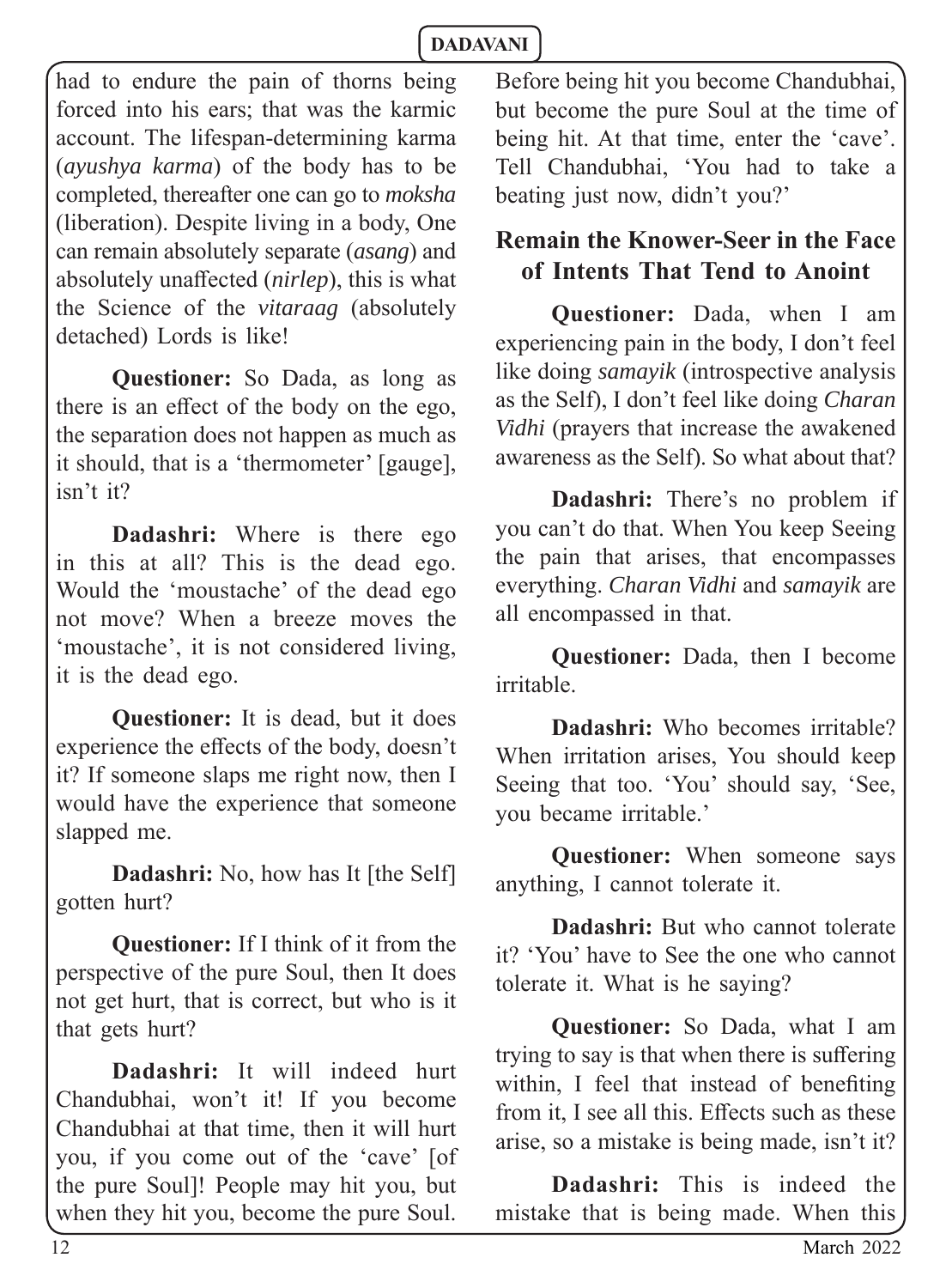had to endure the pain of thorns being forced into his ears; that was the karmic account. The lifespan-determining karma (*ayushya karma*) of the body has to be completed, thereafter one can go to *moksha* (liberation). Despite living in a body, One can remain absolutely separate (*asang*) and absolutely unaffected *(nirlep)*, this is what the Science of the *vitaraag* (absolutely detached) Lords is like!

**Questioner:** So Dada, as long as there is an effect of the body on the ego, the separation does not happen as much as it should, that is a 'thermometer' [gauge], isn't it?

**Dadashri:** Where is there ego in this at all? This is the dead ego. Would the 'moustache' of the dead ego not move? When a breeze moves the 'moustache', it is not considered living, it is the dead ego.

**Questioner:** It is dead, but it does experience the effects of the body, doesn't it? If someone slaps me right now, then I would have the experience that someone slapped me.

**Dadashri:** No, how has It [the Self] gotten hurt?

**Questioner:** If I think of it from the perspective of the pure Soul, then It does not get hurt, that is correct, but who is it that gets hurt?

**Dadashri:** It will indeed hurt Chandubhai, won't it! If you become Chandubhai at that time, then it will hurt you, if you come out of the 'cave' [of the pure Soul]! People may hit you, but when they hit you, become the pure Soul.

Before being hit you become Chandubhai, but become the pure Soul at the time of being hit. At that time, enter the 'cave'. Tell Chandubhai, 'You had to take a beating just now, didn't you?'

# **Remain the Knower-Seer in the Face of Intents That Tend to Anoint**

**Questioner:** Dada, when I am experiencing pain in the body, I don't feel like doing *samayik* (introspective analysis as the Self), I don't feel like doing *Charan Vidhi* (prayers that increase the awakened awareness as the Self). So what about that?

**Dadashri:** There's no problem if you can't do that. When You keep Seeing the pain that arises, that encompasses everything. *Charan Vidhi* and *samayik* are all encompassed in that.

**Questioner:** Dada, then I become irritable.

**Dadashri:** Who becomes irritable? When irritation arises, You should keep Seeing that too. 'You' should say, 'See, you became irritable.'

**Questioner:** When someone says anything, I cannot tolerate it.

**Dadashri:** But who cannot tolerate it? 'You' have to See the one who cannot tolerate it. What is he saying?

**Questioner:** So Dada, what I am trying to say is that when there is suffering within. I feel that instead of benefiting from it. I see all this. Effects such as these arise, so a mistake is being made, isn't it?

**Dadashri:** This is indeed the mistake that is being made. When this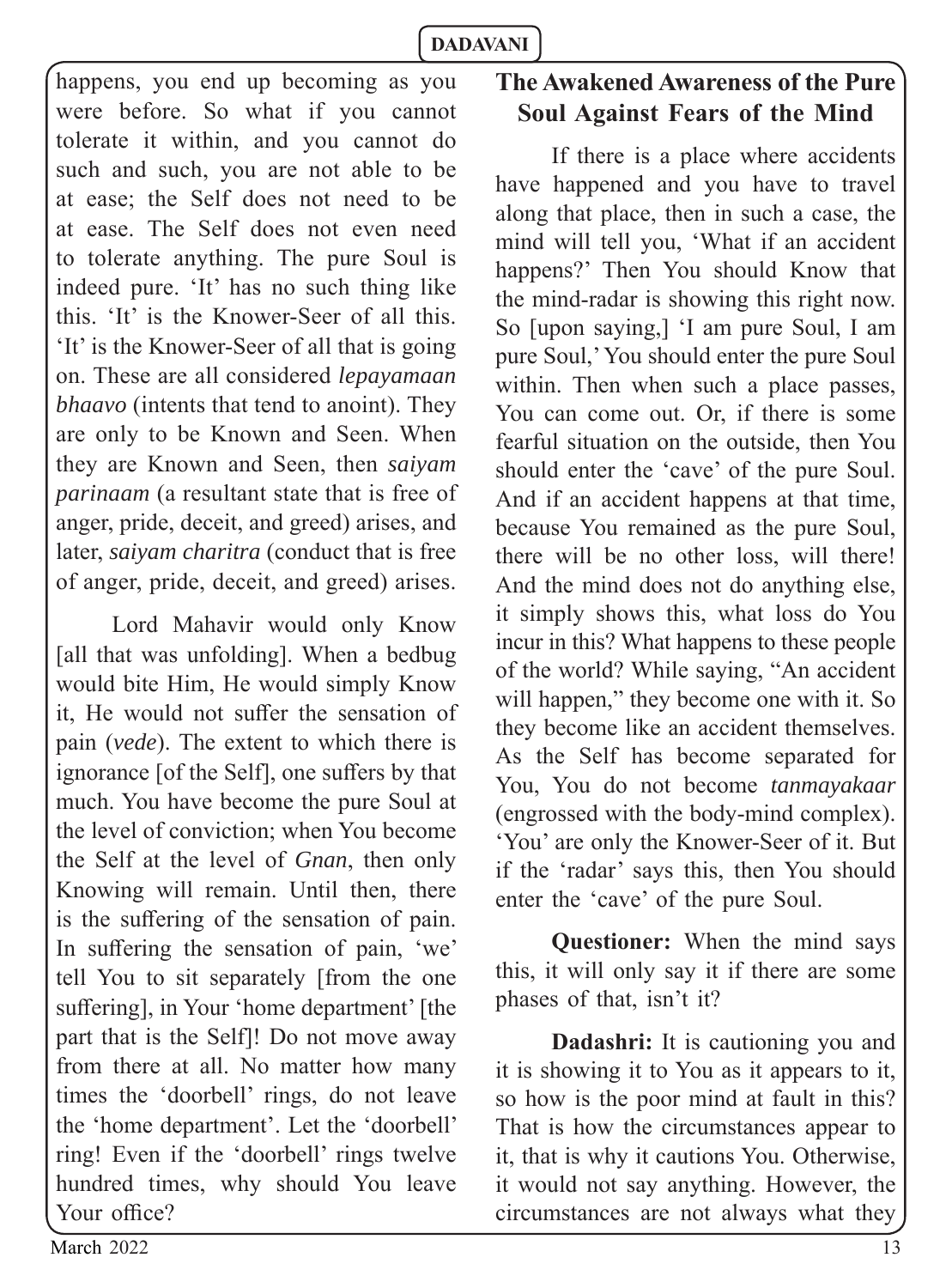happens, you end up becoming as you were before. So what if you cannot tolerate it within, and you cannot do such and such, you are not able to be at ease; the Self does not need to be at ease. The Self does not even need to tolerate anything. The pure Soul is indeed pure. 'It' has no such thing like this. 'It' is the Knower-Seer of all this. 'It' is the Knower-Seer of all that is going on. These are all considered *lepayamaan bhaavo* (intents that tend to anoint). They are only to be Known and Seen. When they are Known and Seen, then *saiyam parinaam* (a resultant state that is free of anger, pride, deceit, and greed) arises, and later, *saiyam charitra* (conduct that is free of anger, pride, deceit, and greed) arises.

Lord Mahavir would only Know [all that was unfolding]. When a bedbug would bite Him, He would simply Know it. He would not suffer the sensation of pain (*vede*). The extent to which there is ignorance [of the Self], one suffers by that much. You have become the pure Soul at the level of conviction; when You become the Self at the level of *Gnan*, then only Knowing will remain. Until then, there is the suffering of the sensation of pain. In suffering the sensation of pain, 'we' tell You to sit separately [from the one suffering], in Your 'home department' [the part that is the Self]! Do not move away from there at all. No matter how many times the 'doorbell' rings, do not leave the 'home department'. Let the 'doorbell' ring! Even if the 'doorbell' rings twelve hundred times, why should You leave Your office?

# **The Awakened Awareness of the Pure Soul Against Fears of the Mind**

If there is a place where accidents have happened and you have to travel along that place, then in such a case, the mind will tell you, 'What if an accident happens?' Then You should Know that the mind-radar is showing this right now. So [upon saying,] 'I am pure Soul, I am pure Soul,' You should enter the pure Soul within. Then when such a place passes, You can come out. Or, if there is some fearful situation on the outside, then You should enter the 'cave' of the pure Soul. And if an accident happens at that time, because You remained as the pure Soul, there will be no other loss, will there! And the mind does not do anything else, it simply shows this, what loss do You incur in this? What happens to these people of the world? While saying, "An accident will happen," they become one with it. So they become like an accident themselves. As the Self has become separated for You, You do not become *tanmayakaar* (engrossed with the body-mind complex). 'You' are only the Knower-Seer of it. But if the 'radar' says this, then You should enter the 'cave' of the pure Soul.

**Questioner:** When the mind says this, it will only say it if there are some phases of that, isn't it?

**Dadashri:** It is cautioning you and it is showing it to You as it appears to it, so how is the poor mind at fault in this? That is how the circumstances appear to it, that is why it cautions You. Otherwise, it would not say anything. However, the circumstances are not always what they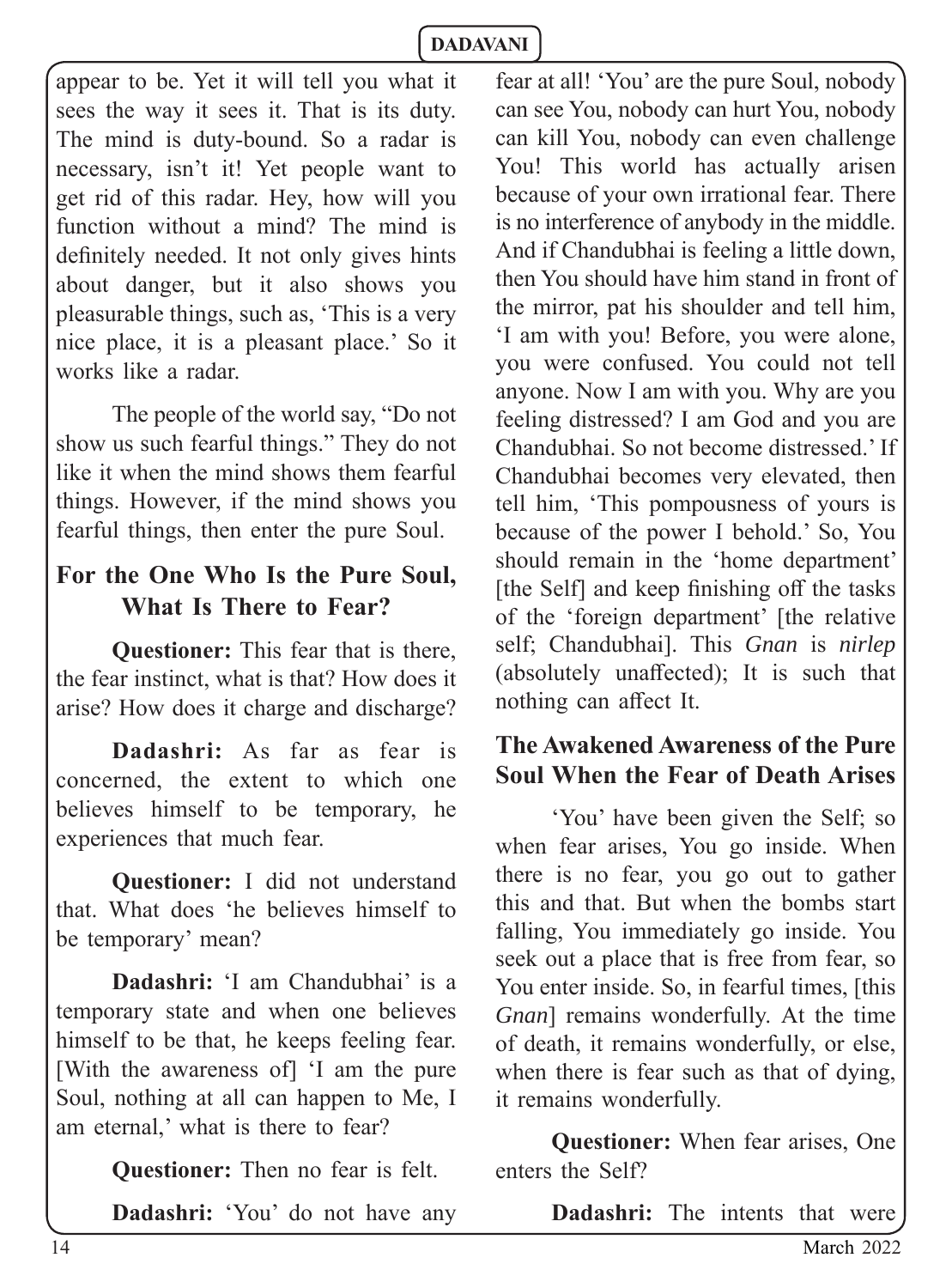appear to be. Yet it will tell you what it sees the way it sees it. That is its duty. The mind is duty-bound. So a radar is necessary, isn't it! Yet people want to get rid of this radar. Hey, how will you function without a mind? The mind is definitely needed. It not only gives hints about danger, but it also shows you pleasurable things, such as, 'This is a very nice place, it is a pleasant place.' So it works like a radar.

The people of the world say, "Do not show us such fearful things." They do not like it when the mind shows them fearful things. However, if the mind shows you fearful things, then enter the pure Soul.

# **For the One Who Is the Pure Soul, What Is There to Fear?**

**Questioner:** This fear that is there, the fear instinct, what is that? How does it arise? How does it charge and discharge?

**Dadashri:** As far as fear is concerned, the extent to which one believes himself to be temporary, he experiences that much fear.

**Questioner:** I did not understand that. What does 'he believes himself to be temporary' mean?

**Dadashri:** 'I am Chandubhai' is a temporary state and when one believes himself to be that, he keeps feeling fear. [With the awareness of] 'I am the pure Soul, nothing at all can happen to Me, I am eternal,' what is there to fear?

**Questioner:** Then no fear is felt.

**Dadashri:** 'You' do not have any

fear at all! 'You' are the pure Soul, nobody can see You, nobody can hurt You, nobody can kill You, nobody can even challenge You! This world has actually arisen because of your own irrational fear. There is no interference of anybody in the middle. And if Chandubhai is feeling a little down, then You should have him stand in front of the mirror, pat his shoulder and tell him, 'I am with you! Before, you were alone, you were confused. You could not tell anyone. Now I am with you. Why are you feeling distressed? I am God and you are Chandubhai. So not become distressed.' If Chandubhai becomes very elevated, then tell him, 'This pompousness of yours is because of the power I behold.' So, You should remain in the 'home department' [the Self] and keep finishing off the tasks of the 'foreign department' [the relative self; Chandubhai]. This *Gnan* is *nirlep* (absolutely unaffected); It is such that nothing can affect It.

# **The Awakened Awareness of the Pure Soul When the Fear of Death Arises**

'You' have been given the Self; so when fear arises, You go inside. When there is no fear, you go out to gather this and that. But when the bombs start falling, You immediately go inside. You seek out a place that is free from fear, so You enter inside. So, in fearful times, [this *Gnan*] remains wonderfully. At the time of death, it remains wonderfully, or else, when there is fear such as that of dying, it remains wonderfully.

**Questioner:** When fear arises, One enters the Self?

**Dadashri:** The intents that were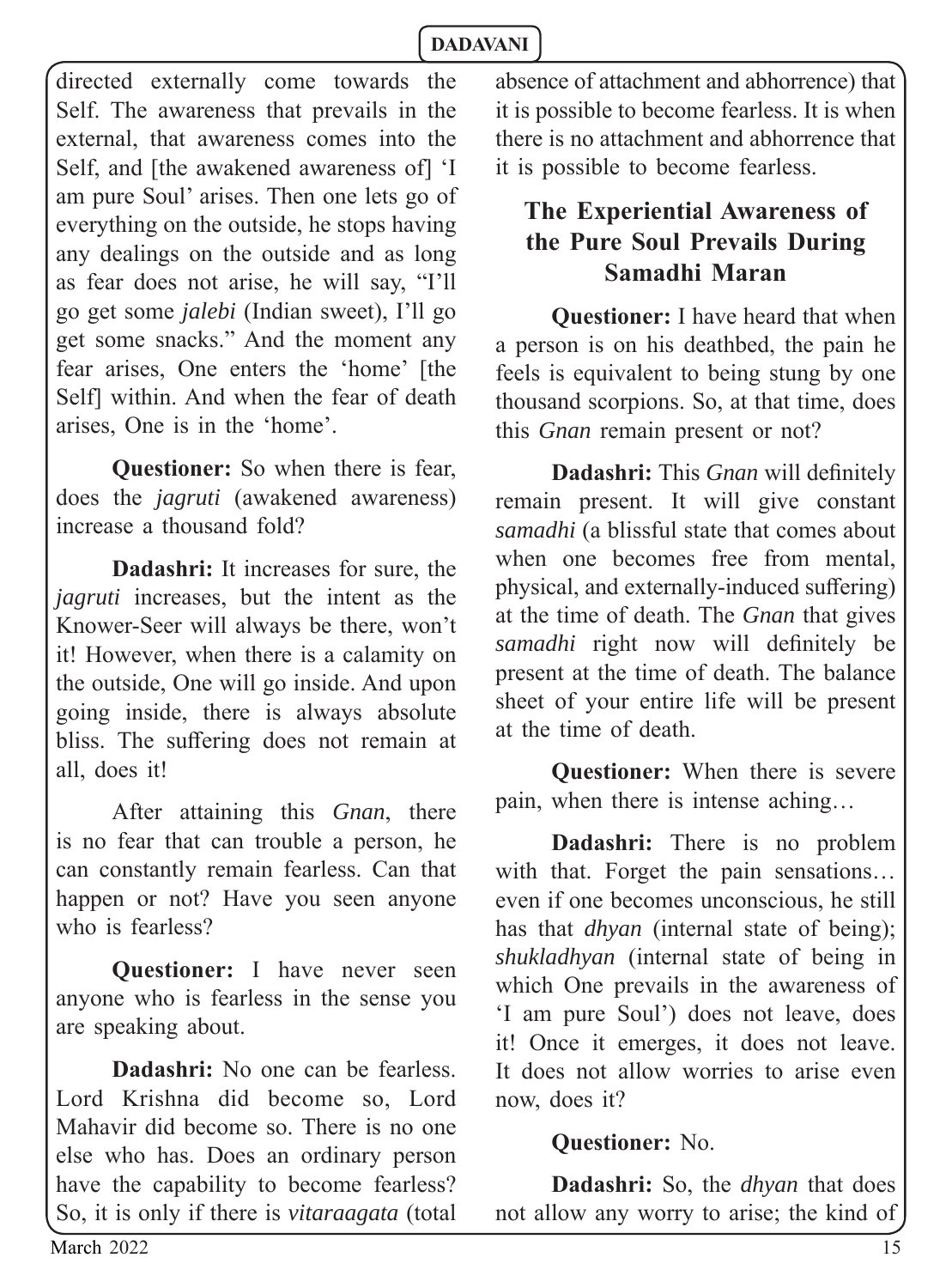directed externally come towards the Self. The awareness that prevails in the external, that awareness comes into the Self, and [the awakened awareness of] 'I am pure Soul' arises. Then one lets go of everything on the outside, he stops having any dealings on the outside and as long as fear does not arise, he will say, "I'll go get some *jalebi* (Indian sweet), I'll go get some snacks." And the moment any fear arises, One enters the 'home' [the Self] within. And when the fear of death arises, One is in the 'home'.

**Questioner:** So when there is fear, does the *jagruti* (awakened awareness) increase a thousand fold?

**Dadashri:** It increases for sure, the *jagruti* increases, but the intent as the Knower-Seer will always be there, won't it! However, when there is a calamity on the outside, One will go inside. And upon going inside, there is always absolute bliss. The suffering does not remain at all, does it!

After attaining this *Gnan*, there is no fear that can trouble a person, he can constantly remain fearless. Can that happen or not? Have you seen anyone who is fearless?

**Questioner:** I have never seen anyone who is fearless in the sense you are speaking about.

**Dadashri:** No one can be fearless. Lord Krishna did become so, Lord Mahavir did become so. There is no one else who has. Does an ordinary person have the capability to become fearless? So, it is only if there is *vitaraagata* (total absence of attachment and abhorrence) that it is possible to become fearless. It is when there is no attachment and abhorrence that it is possible to become fearless.

# **The Experiential Awareness of the Pure Soul Prevails During Samadhi Maran**

**Questioner:** I have heard that when a person is on his deathbed, the pain he feels is equivalent to being stung by one thousand scorpions. So, at that time, does this *Gnan* remain present or not?

**Dadashri:** This *Gnan* will definitely remain present. It will give constant *samadhi* (a blissful state that comes about when one becomes free from mental physical, and externally-induced suffering) at the time of death. The *Gnan* that gives *samadhi* right now will definitely be present at the time of death. The balance sheet of your entire life will be present at the time of death.

**Questioner:** When there is severe pain, when there is intense aching…

**Dadashri:** There is no problem with that. Forget the pain sensations… even if one becomes unconscious, he still has that *dhyan* (internal state of being); *shukladhyan* (internal state of being in which One prevails in the awareness of 'I am pure Soul') does not leave, does it! Once it emerges, it does not leave. It does not allow worries to arise even now, does it?

#### **Questioner:** No.

**Dadashri:** So, the *dhyan* that does not allow any worry to arise; the kind of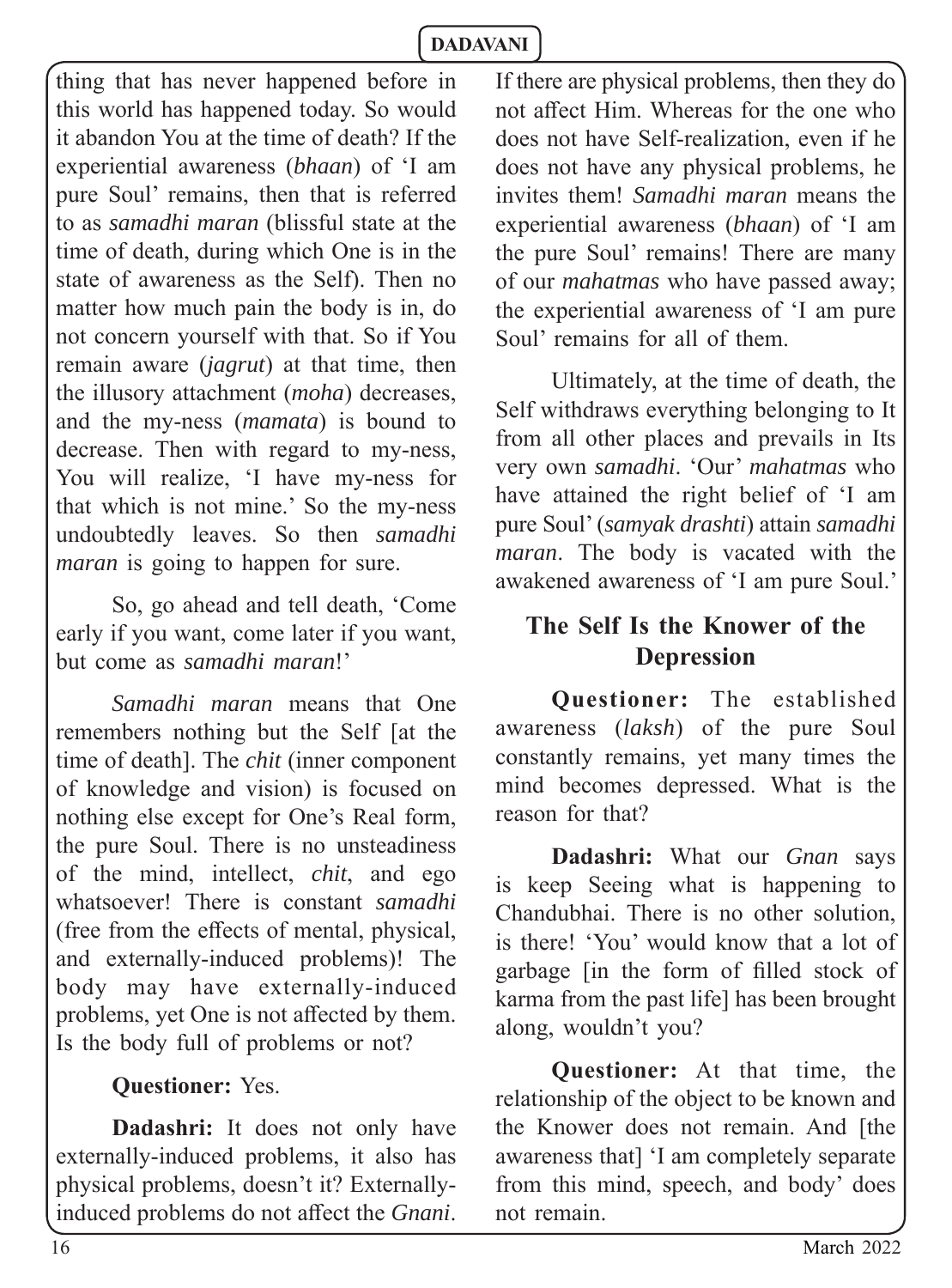thing that has never happened before in this world has happened today. So would it abandon You at the time of death? If the experiential awareness (*bhaan*) of 'I am pure Soul' remains, then that is referred to as *samadhi maran* (blissful state at the time of death, during which One is in the state of awareness as the Self). Then no matter how much pain the body is in, do not concern yourself with that. So if You remain aware (*jagrut*) at that time, then the illusory attachment (*moha*) decreases, and the my-ness (*mamata*) is bound to decrease. Then with regard to my-ness, You will realize, 'I have my-ness for that which is not mine.' So the my-ness undoubtedly leaves. So then *samadhi maran* is going to happen for sure.

So, go ahead and tell death, 'Come early if you want, come later if you want, but come as *samadhi maran*!'

*Samadhi maran* means that One remembers nothing but the Self [at the time of death]. The *chit* (inner component of knowledge and vision) is focused on nothing else except for One's Real form, the pure Soul. There is no unsteadiness of the mind, intellect, *chit*, and ego whatsoever! There is constant *samadhi*  (free from the effects of mental, physical, and externally-induced problems)! The body may have externally-induced problems, yet One is not affected by them. Is the body full of problems or not?

#### **Questioner:** Yes.

**Dadashri:** It does not only have externally-induced problems, it also has physical problems, doesn't it? Externallyinduced problems do not affect the *Gnani*.

If there are physical problems, then they do not affect Him. Whereas for the one who does not have Self-realization, even if he does not have any physical problems, he invites them! *Samadhi maran* means the experiential awareness (*bhaan*) of 'I am the pure Soul' remains! There are many of our *mahatmas* who have passed away; the experiential awareness of 'I am pure Soul' remains for all of them.

Ultimately, at the time of death, the Self withdraws everything belonging to It from all other places and prevails in Its very own *samadhi*. 'Our' *mahatmas* who have attained the right belief of 'I am pure Soul' (*samyak drashti*) attain *samadhi maran*. The body is vacated with the awakened awareness of 'I am pure Soul.'

# **The Self Is the Knower of the Depression**

**Questioner:** The established awareness (*laksh*) of the pure Soul constantly remains, yet many times the mind becomes depressed. What is the reason for that?

**Dadashri:** What our *Gnan* says is keep Seeing what is happening to Chandubhai. There is no other solution, is there! 'You' would know that a lot of garbage [in the form of filled stock of karma from the past life] has been brought along, wouldn't you?

**Questioner:** At that time, the relationship of the object to be known and the Knower does not remain. And [the awareness that] 'I am completely separate from this mind, speech, and body' does not remain.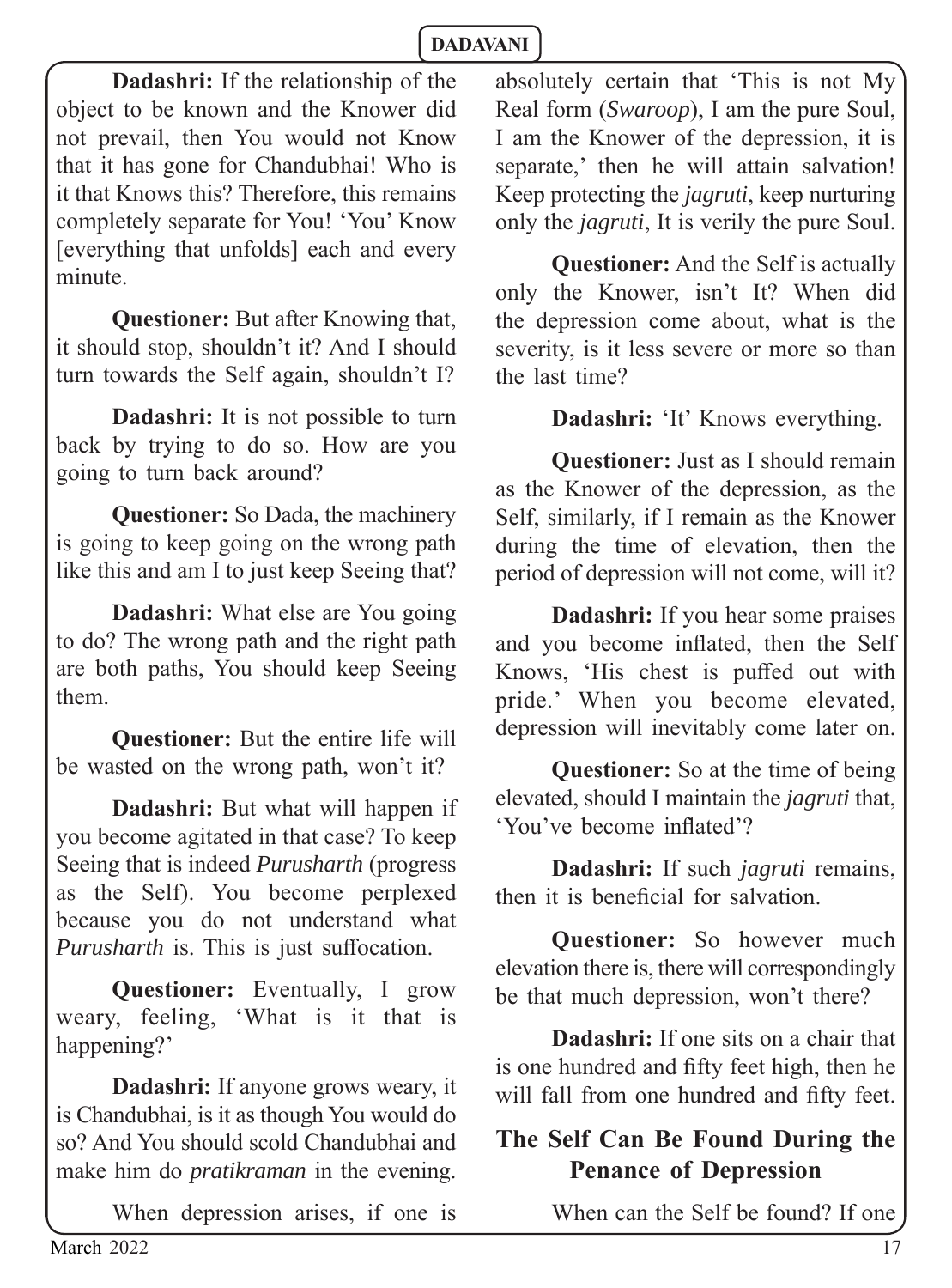**Dadashri:** If the relationship of the object to be known and the Knower did not prevail, then You would not Know that it has gone for Chandubhai! Who is it that Knows this? Therefore, this remains completely separate for You! 'You' Know [everything that unfolds] each and every minute.

**Questioner:** But after Knowing that, it should stop, shouldn't it? And I should turn towards the Self again, shouldn't I?

**Dadashri:** It is not possible to turn back by trying to do so. How are you going to turn back around?

**Questioner:** So Dada, the machinery is going to keep going on the wrong path like this and am I to just keep Seeing that?

**Dadashri:** What else are You going to do? The wrong path and the right path are both paths, You should keep Seeing them.

**Questioner:** But the entire life will be wasted on the wrong path, won't it?

**Dadashri:** But what will happen if you become agitated in that case? To keep Seeing that is indeed *Purusharth* (progress as the Self). You become perplexed because you do not understand what *Purusharth* is. This is just suffocation.

**Questioner:** Eventually, I grow weary, feeling, 'What is it that is happening?'

**Dadashri:** If anyone grows weary, it is Chandubhai, is it as though You would do so? And You should scold Chandubhai and make him do *pratikraman* in the evening.

When depression arises, if one is

absolutely certain that 'This is not My Real form (*Swaroop*), I am the pure Soul, I am the Knower of the depression, it is separate,' then he will attain salvation! Keep protecting the *jagruti*, keep nurturing only the *jagruti*, It is verily the pure Soul.

**Questioner:** And the Self is actually only the Knower, isn't It? When did the depression come about, what is the severity, is it less severe or more so than the last time?

#### **Dadashri:** 'It' Knows everything.

**Questioner:** Just as I should remain as the Knower of the depression, as the Self, similarly, if I remain as the Knower during the time of elevation, then the period of depression will not come, will it?

**Dadashri:** If you hear some praises and you become inflated, then the Self Knows, 'His chest is puffed out with pride.' When you become elevated, depression will inevitably come later on.

**Questioner:** So at the time of being elevated, should I maintain the *jagruti* that, 'You've become inflated'?

**Dadashri:** If such *jagruti* remains, then it is beneficial for salvation

**Questioner:** So however much elevation there is, there will correspondingly be that much depression, won't there?

**Dadashri:** If one sits on a chair that is one hundred and fifty feet high, then he will fall from one hundred and fifty feet.

# **The Self Can Be Found During the Penance of Depression**

When can the Self be found? If one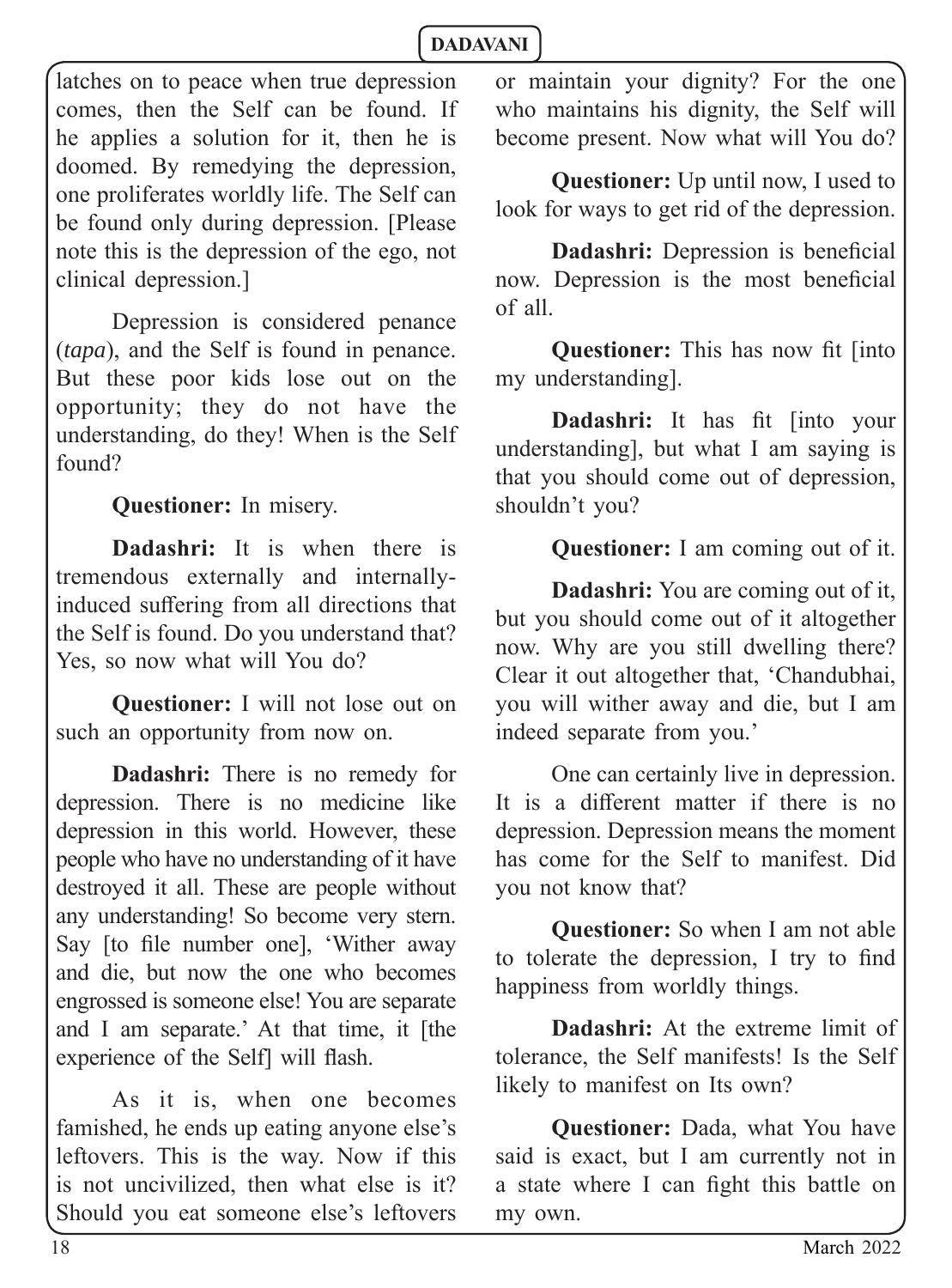latches on to peace when true depression comes, then the Self can be found. If he applies a solution for it, then he is doomed. By remedying the depression, one proliferates worldly life. The Self can be found only during depression. [Please note this is the depression of the ego, not clinical depression.]

Depression is considered penance (*tapa*), and the Self is found in penance. But these poor kids lose out on the opportunity; they do not have the understanding, do they! When is the Self found?

**Questioner:** In misery.

**Dadashri:** It is when there is tremendous externally and internallyinduced suffering from all directions that the Self is found. Do you understand that? Yes, so now what will You do?

**Questioner:** I will not lose out on such an opportunity from now on.

**Dadashri:** There is no remedy for depression. There is no medicine like depression in this world. However, these people who have no understanding of it have destroyed it all. These are people without any understanding! So become very stern. Say [to file number one], 'Wither away and die, but now the one who becomes engrossed is someone else! You are separate and I am separate.' At that time, it [the experience of the Self] will flash.

As it is, when one becomes famished, he ends up eating anyone else's leftovers. This is the way. Now if this is not uncivilized, then what else is it? Should you eat someone else's leftovers

or maintain your dignity? For the one who maintains his dignity, the Self will become present. Now what will You do?

**Questioner:** Up until now, I used to look for ways to get rid of the depression.

**Dadashri:** Depression is beneficial now. Depression is the most beneficial of all.

**Questioner:** This has now fit [into] my understanding].

**Dadashri:** It has fit [into your understanding], but what I am saying is that you should come out of depression, shouldn't you?

**Questioner:** I am coming out of it.

**Dadashri:** You are coming out of it, but you should come out of it altogether now. Why are you still dwelling there? Clear it out altogether that, 'Chandubhai, you will wither away and die, but I am indeed separate from you.'

One can certainly live in depression. It is a different matter if there is no depression. Depression means the moment has come for the Self to manifest. Did you not know that?

**Questioner:** So when I am not able to tolerate the depression, I try to find happiness from worldly things.

**Dadashri:** At the extreme limit of tolerance, the Self manifests! Is the Self likely to manifest on Its own?

**Questioner:** Dada, what You have said is exact, but I am currently not in a state where I can fight this battle on my own.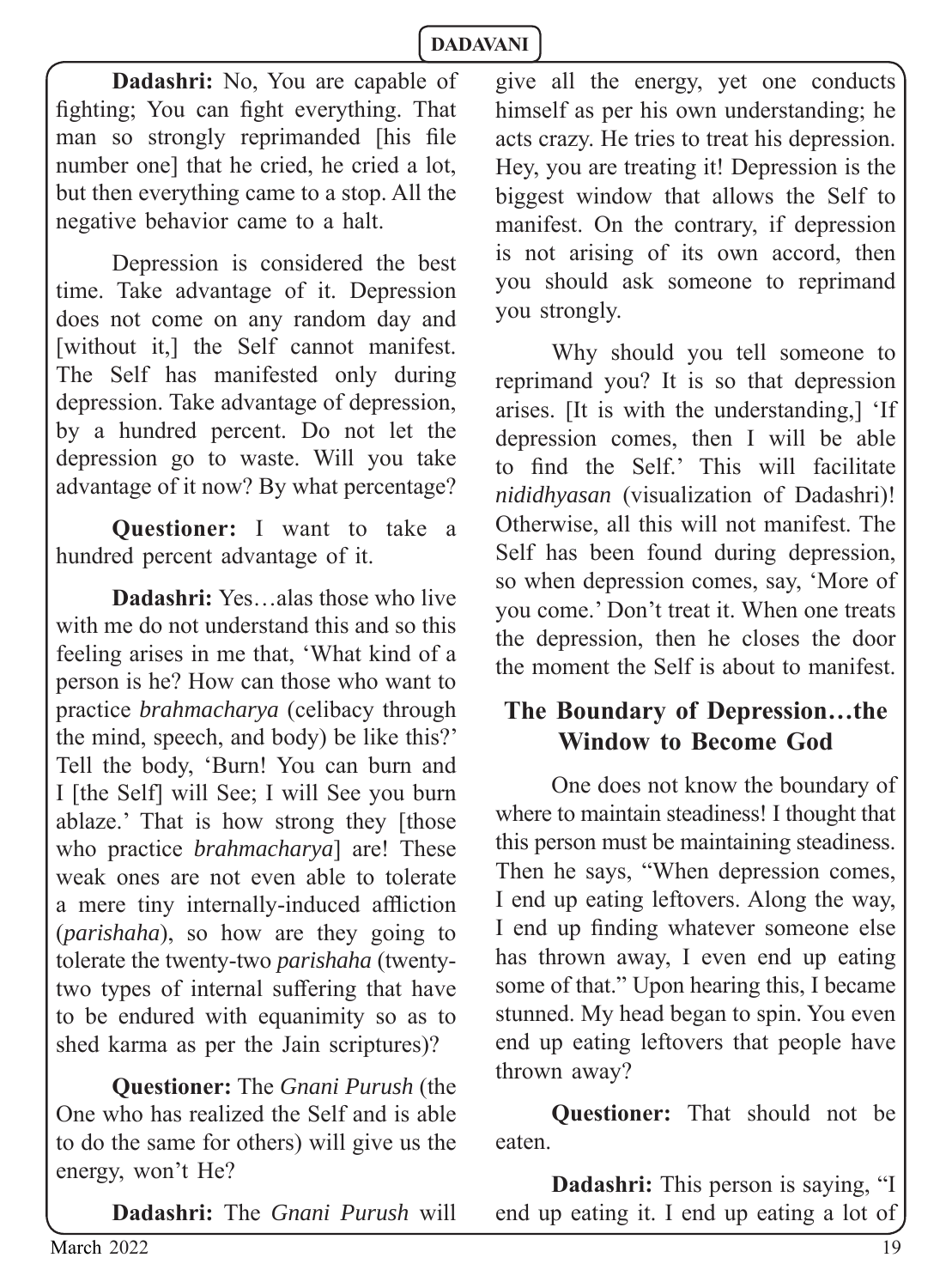**Dadashri:** No, You are capable of fighting; You can fight everything. That man so strongly reprimanded [his file number one] that he cried, he cried a lot, but then everything came to a stop. All the negative behavior came to a halt.

Depression is considered the best time. Take advantage of it. Depression does not come on any random day and [without it,] the Self cannot manifest. The Self has manifested only during depression. Take advantage of depression, by a hundred percent. Do not let the depression go to waste. Will you take advantage of it now? By what percentage?

**Questioner:** I want to take a hundred percent advantage of it.

**Dadashri:** Yes…alas those who live with me do not understand this and so this feeling arises in me that, 'What kind of a person is he? How can those who want to practice *brahmacharya* (celibacy through the mind, speech, and body) be like this?' Tell the body, 'Burn! You can burn and I [the Self] will See; I will See you burn ablaze.' That is how strong they [those who practice *brahmacharya*] are! These weak ones are not even able to tolerate a mere tiny internally-induced affliction (*parishaha*), so how are they going to tolerate the twenty-two *parishaha* (twentytwo types of internal suffering that have to be endured with equanimity so as to shed karma as per the Jain scriptures)?

**Questioner:** The *Gnani Purush* (the One who has realized the Self and is able to do the same for others) will give us the energy, won't He?

**Dadashri:** The *Gnani Purush* will

give all the energy, yet one conducts himself as per his own understanding; he acts crazy. He tries to treat his depression. Hey, you are treating it! Depression is the biggest window that allows the Self to manifest. On the contrary, if depression is not arising of its own accord, then you should ask someone to reprimand you strongly.

Why should you tell someone to reprimand you? It is so that depression arises. [It is with the understanding,] 'If depression comes, then I will be able to find the Self.' This will facilitate *nididhyasan* (visualization of Dadashri)! Otherwise, all this will not manifest. The Self has been found during depression, so when depression comes, say, 'More of you come.' Don't treat it. When one treats the depression, then he closes the door the moment the Self is about to manifest.

#### **The Boundary of Depression…the Window to Become God**

One does not know the boundary of where to maintain steadiness! I thought that this person must be maintaining steadiness. Then he says, "When depression comes, I end up eating leftovers. Along the way, I end up finding whatever someone else has thrown away, I even end up eating some of that." Upon hearing this, I became stunned. My head began to spin. You even end up eating leftovers that people have thrown away?

**Questioner:** That should not be eaten.

**Dadashri:** This person is saying, "I end up eating it. I end up eating a lot of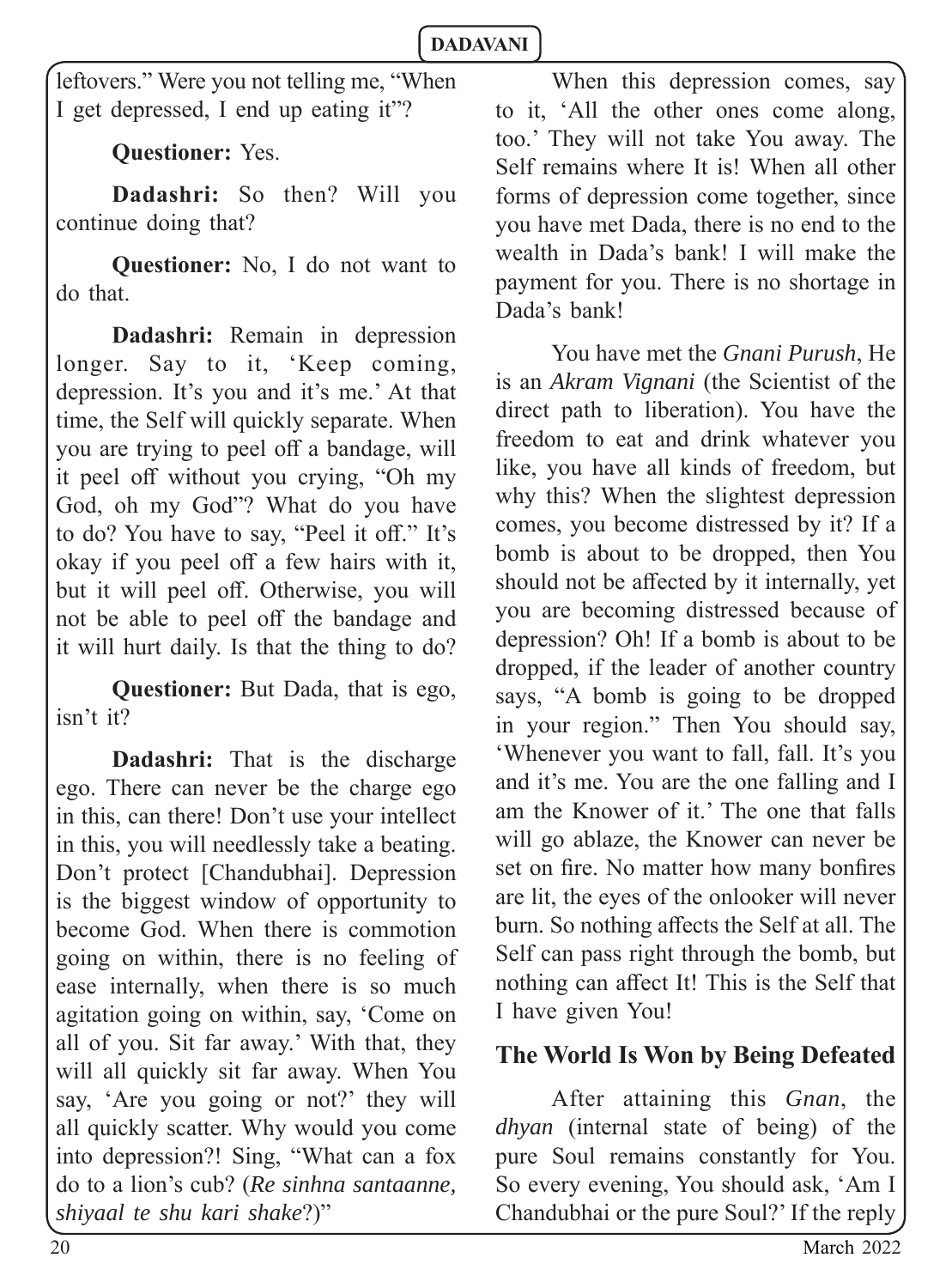leftovers." Were you not telling me, "When I get depressed, I end up eating it"?

**Questioner:** Yes.

**Dadashri:** So then? Will you continue doing that?

**Questioner:** No, I do not want to do that.

**Dadashri:** Remain in depression longer. Say to it, 'Keep coming, depression. It's you and it's me.' At that time, the Self will quickly separate. When you are trying to peel off a bandage, will it peel off without you crying, "Oh my God, oh my God"? What do you have to do? You have to say, "Peel it off." It's okay if you peel off a few hairs with it, but it will peel off. Otherwise, you will not be able to peel off the bandage and it will hurt daily. Is that the thing to do?

**Questioner:** But Dada, that is ego, isn't it?

**Dadashri:** That is the discharge ego. There can never be the charge ego in this, can there! Don't use your intellect in this, you will needlessly take a beating. Don't protect [Chandubhai]. Depression is the biggest window of opportunity to become God. When there is commotion going on within, there is no feeling of ease internally, when there is so much agitation going on within, say, 'Come on all of you. Sit far away.' With that, they will all quickly sit far away. When You say, 'Are you going or not?' they will all quickly scatter. Why would you come into depression?! Sing, "What can a fox do to a lion's cub? (*Re sinhna santaanne, shiyaal te shu kari shake*?)"

When this depression comes, say to it, 'All the other ones come along, too.' They will not take You away. The Self remains where It is! When all other forms of depression come together, since you have met Dada, there is no end to the wealth in Dada's bank! I will make the payment for you. There is no shortage in Dada's bank!

You have met the *Gnani Purush*, He is an *Akram Vignani* (the Scientist of the direct path to liberation). You have the freedom to eat and drink whatever you like, you have all kinds of freedom, but why this? When the slightest depression comes, you become distressed by it? If a bomb is about to be dropped, then You should not be affected by it internally, yet you are becoming distressed because of depression? Oh! If a bomb is about to be dropped, if the leader of another country says, "A bomb is going to be dropped in your region." Then You should say, 'Whenever you want to fall, fall. It's you and it's me. You are the one falling and I am the Knower of it.' The one that falls will go ablaze, the Knower can never be set on fire. No matter how many bonfires are lit, the eyes of the onlooker will never burn. So nothing affects the Self at all. The Self can pass right through the bomb, but nothing can affect It! This is the Self that I have given You!

# **The World Is Won by Being Defeated**

After attaining this *Gnan*, the *dhyan* (internal state of being) of the pure Soul remains constantly for You. So every evening, You should ask, 'Am I Chandubhai or the pure Soul?' If the reply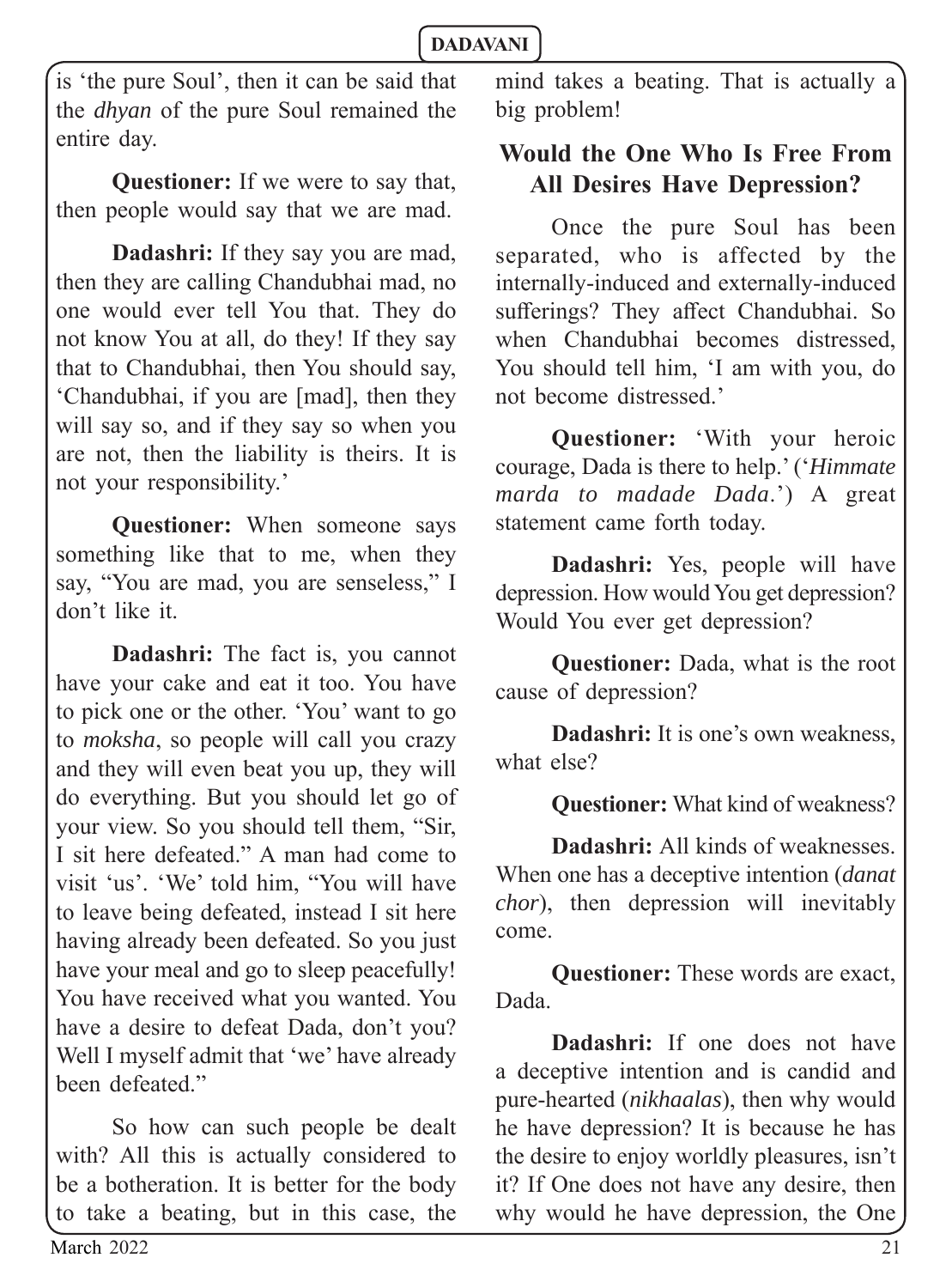is 'the pure Soul', then it can be said that the *dhyan* of the pure Soul remained the entire day.

**Questioner:** If we were to say that, then people would say that we are mad.

**Dadashri:** If they say you are mad, then they are calling Chandubhai mad, no one would ever tell You that. They do not know You at all, do they! If they say that to Chandubhai, then You should say, 'Chandubhai, if you are [mad], then they will say so, and if they say so when you are not, then the liability is theirs. It is not your responsibility.'

**Questioner:** When someone says something like that to me, when they say, "You are mad, you are senseless," I don't like it.

**Dadashri:** The fact is, you cannot have your cake and eat it too. You have to pick one or the other. 'You' want to go to *moksha*, so people will call you crazy and they will even beat you up, they will do everything. But you should let go of your view. So you should tell them, "Sir, I sit here defeated." A man had come to visit 'us'. 'We' told him, "You will have to leave being defeated, instead I sit here having already been defeated. So you just have your meal and go to sleep peacefully! You have received what you wanted. You have a desire to defeat Dada, don't you? Well I myself admit that 'we' have already been defeated."

So how can such people be dealt with? All this is actually considered to be a botheration. It is better for the body to take a beating, but in this case, the

mind takes a beating. That is actually a big problem!

# **Would the One Who Is Free From All Desires Have Depression?**

Once the pure Soul has been separated, who is affected by the internally-induced and externally-induced sufferings? They affect Chandubhai. So when Chandubhai becomes distressed, You should tell him, 'I am with you, do not become distressed.'

**Questioner:** 'With your heroic courage, Dada is there to help.' ('*Himmate marda to madade Dada*.') A great statement came forth today.

**Dadashri:** Yes, people will have depression. How would You get depression? Would You ever get depression?

**Questioner:** Dada, what is the root cause of depression?

**Dadashri:** It is one's own weakness. what else?

**Questioner:** What kind of weakness?

**Dadashri:** All kinds of weaknesses. When one has a deceptive intention (*danat chor*), then depression will inevitably come.

**Questioner:** These words are exact, Dada.

**Dadashri:** If one does not have a deceptive intention and is candid and pure-hearted (*nikhaalas*), then why would he have depression? It is because he has the desire to enjoy worldly pleasures, isn't it? If One does not have any desire, then why would he have depression, the One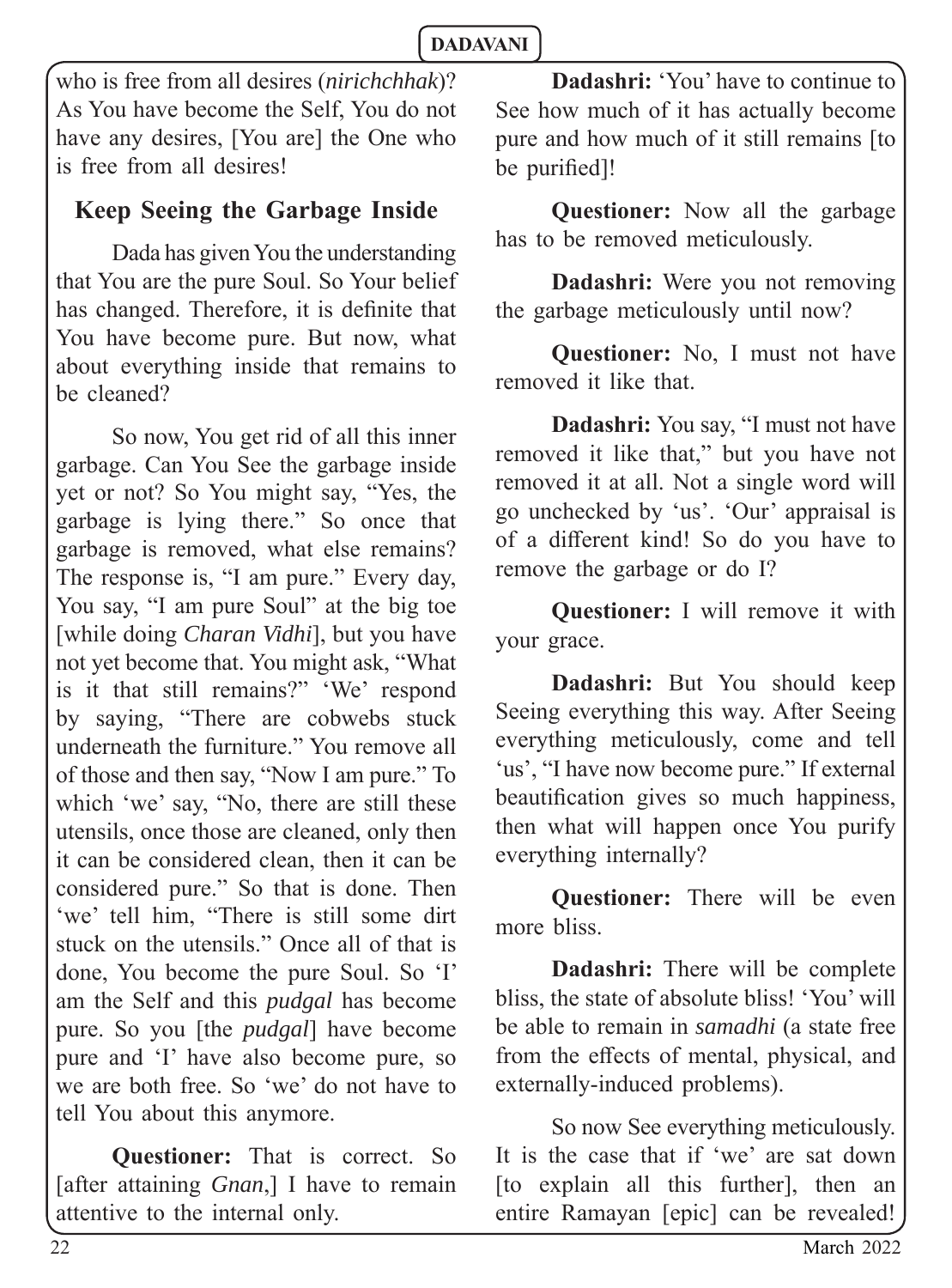who is free from all desires (*nirichchhak*)? As You have become the Self, You do not have any desires. [You are] the One who is free from all desires!

# **Keep Seeing the Garbage Inside**

Dada has given You the understanding that You are the pure Soul. So Your belief has changed. Therefore, it is definite that You have become pure. But now, what about everything inside that remains to be cleaned?

So now, You get rid of all this inner garbage. Can You See the garbage inside yet or not? So You might say, "Yes, the garbage is lying there." So once that garbage is removed, what else remains? The response is, "I am pure." Every day, You say, "I am pure Soul" at the big toe [while doing *Charan Vidhi*], but you have not yet become that. You might ask, "What is it that still remains?" 'We' respond by saying, "There are cobwebs stuck underneath the furniture." You remove all of those and then say, "Now I am pure." To which 'we' say, "No, there are still these utensils, once those are cleaned, only then it can be considered clean, then it can be considered pure." So that is done. Then 'we' tell him, "There is still some dirt stuck on the utensils." Once all of that is done, You become the pure Soul. So 'I' am the Self and this *pudgal* has become pure. So you [the *pudgal*] have become pure and 'I' have also become pure, so we are both free. So 'we' do not have to tell You about this anymore.

**Questioner:** That is correct. So [after attaining *Gnan*,] I have to remain attentive to the internal only.

**Dadashri:** 'You' have to continue to See how much of it has actually become pure and how much of it still remains [to be purified]!

**Questioner:** Now all the garbage has to be removed meticulously.

**Dadashri:** Were you not removing the garbage meticulously until now?

**Questioner:** No, I must not have removed it like that.

**Dadashri:** You say, "I must not have removed it like that," but you have not removed it at all. Not a single word will go unchecked by 'us'. 'Our' appraisal is of a different kind! So do you have to remove the garbage or do I?

**Questioner:** I will remove it with your grace.

**Dadashri:** But You should keep Seeing everything this way. After Seeing everything meticulously, come and tell 'us', "I have now become pure." If external beautification gives so much happiness, then what will happen once You purify everything internally?

**Questioner:** There will be even more bliss.

**Dadashri:** There will be complete bliss, the state of absolute bliss! 'You' will be able to remain in *samadhi* (a state free from the effects of mental, physical, and externally-induced problems).

So now See everything meticulously. It is the case that if 'we' are sat down [to explain all this further], then an entire Ramayan [epic] can be revealed!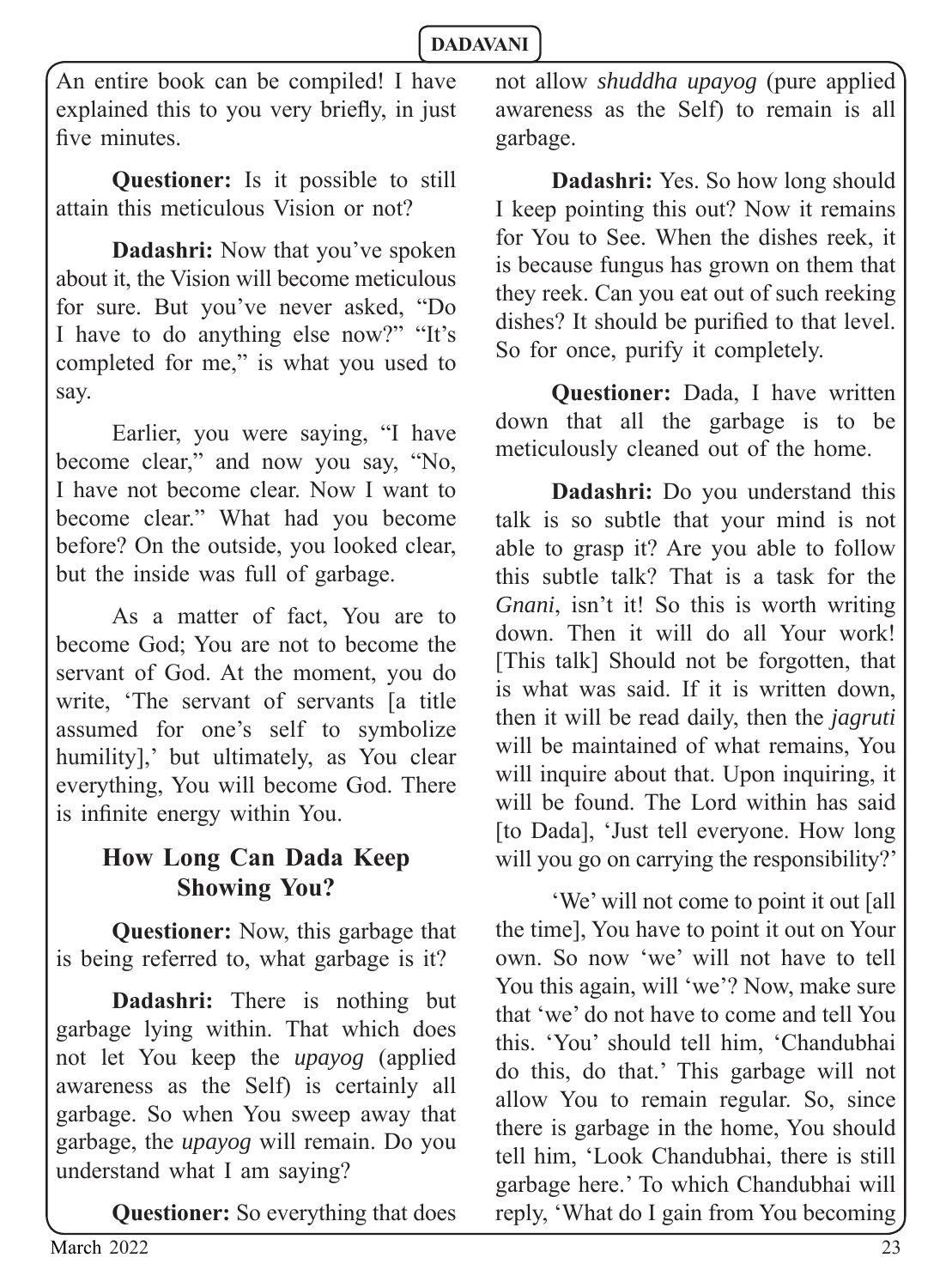An entire book can be compiled! I have explained this to you very briefly, in just five minutes

**Questioner:** Is it possible to still attain this meticulous Vision or not?

**Dadashri:** Now that you've spoken about it, the Vision will become meticulous for sure. But you've never asked, "Do I have to do anything else now?" "It's completed for me," is what you used to say.

Earlier, you were saying, "I have become clear," and now you say, "No, I have not become clear. Now I want to become clear." What had you become before? On the outside, you looked clear, but the inside was full of garbage.

As a matter of fact, You are to become God; You are not to become the servant of God. At the moment, you do write, 'The servant of servants [a title assumed for one's self to symbolize humility],' but ultimately, as You clear everything, You will become God. There is infinite energy within You.

# **How Long Can Dada Keep Showing You?**

**Questioner:** Now, this garbage that is being referred to, what garbage is it?

**Dadashri:** There is nothing but garbage lying within. That which does not let You keep the *upayog* (applied awareness as the Self) is certainly all garbage. So when You sweep away that garbage, the *upayog* will remain. Do you understand what I am saying?

**Questioner:** So everything that does

not allow *shuddha upayog* (pure applied awareness as the Self) to remain is all garbage.

**Dadashri:** Yes. So how long should I keep pointing this out? Now it remains for You to See. When the dishes reek, it is because fungus has grown on them that they reek. Can you eat out of such reeking dishes? It should be purified to that level. So for once, purify it completely.

**Questioner:** Dada, I have written down that all the garbage is to be meticulously cleaned out of the home.

**Dadashri:** Do you understand this talk is so subtle that your mind is not able to grasp it? Are you able to follow this subtle talk? That is a task for the *Gnani*, isn't it! So this is worth writing down. Then it will do all Your work! [This talk] Should not be forgotten, that is what was said. If it is written down, then it will be read daily, then the *jagruti* will be maintained of what remains, You will inquire about that. Upon inquiring, it will be found. The Lord within has said [to Dada], 'Just tell everyone. How long will you go on carrying the responsibility?'

'We' will not come to point it out [all the time], You have to point it out on Your own. So now 'we' will not have to tell You this again, will 'we'? Now, make sure that 'we' do not have to come and tell You this. 'You' should tell him, 'Chandubhai do this, do that.' This garbage will not allow You to remain regular. So, since there is garbage in the home, You should tell him, 'Look Chandubhai, there is still garbage here.' To which Chandubhai will reply, 'What do I gain from You becoming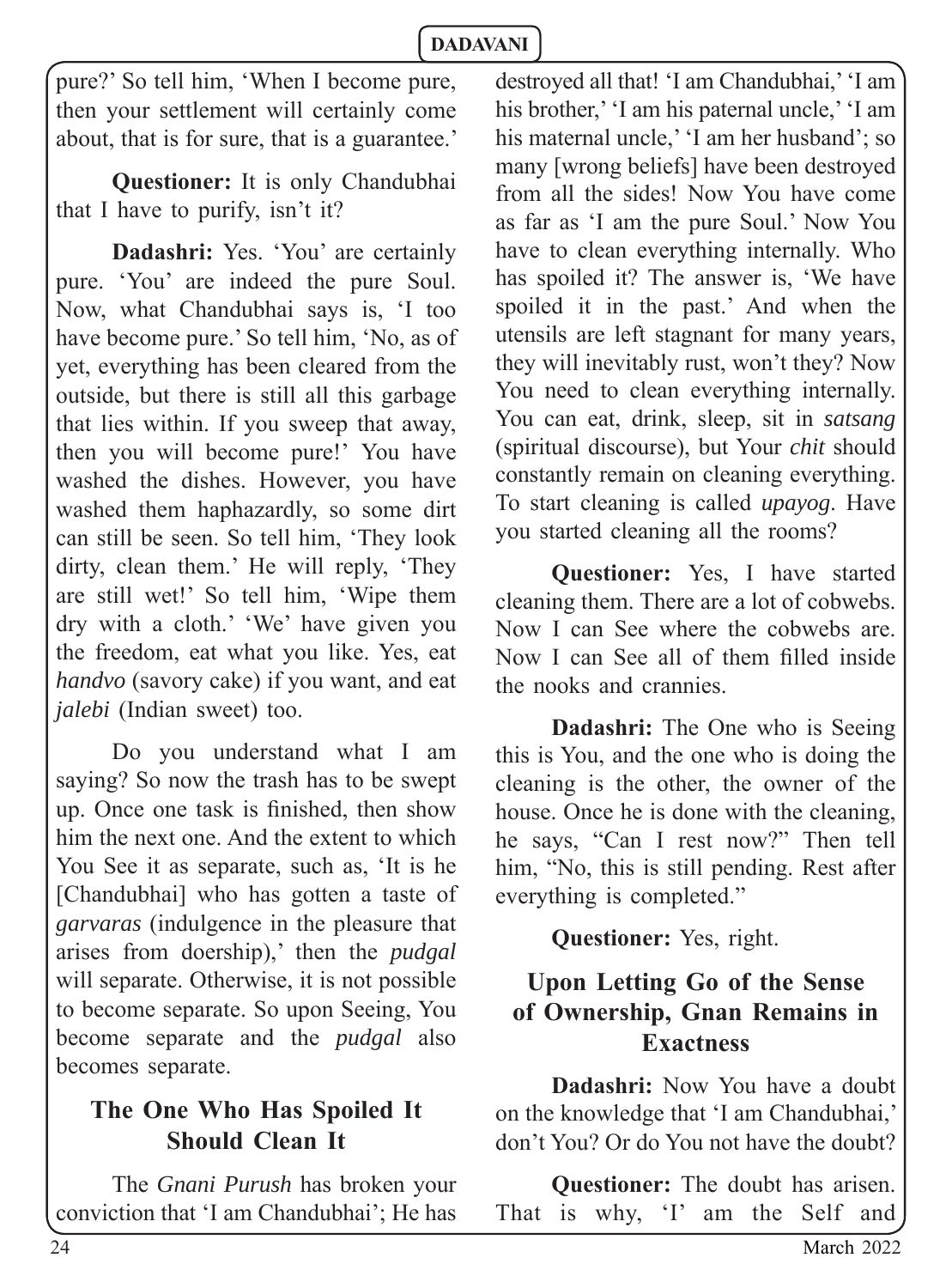pure?' So tell him, 'When I become pure, then your settlement will certainly come about, that is for sure, that is a guarantee.'

**Questioner:** It is only Chandubhai that I have to purify, isn't it?

**Dadashri:** Yes. 'You' are certainly pure. 'You' are indeed the pure Soul. Now, what Chandubhai says is, 'I too have become pure.' So tell him, 'No, as of yet, everything has been cleared from the outside, but there is still all this garbage that lies within. If you sweep that away, then you will become pure!' You have washed the dishes. However, you have washed them haphazardly, so some dirt can still be seen. So tell him, 'They look dirty, clean them.' He will reply, 'They are still wet!' So tell him, 'Wipe them dry with a cloth.' 'We' have given you the freedom, eat what you like. Yes, eat *handvo* (savory cake) if you want, and eat *jalebi* (Indian sweet) too.

Do you understand what I am saying? So now the trash has to be swept up. Once one task is finished, then show him the next one. And the extent to which You See it as separate, such as, 'It is he [Chandubhai] who has gotten a taste of *garvaras* (indulgence in the pleasure that arises from doership),' then the *pudgal* will separate. Otherwise, it is not possible to become separate. So upon Seeing, You become separate and the *pudgal* also becomes separate.

# **The One Who Has Spoiled It Should Clean It**

The *Gnani Purush* has broken your conviction that 'I am Chandubhai'; He has destroyed all that! 'I am Chandubhai,' 'I am his brother,' 'I am his paternal uncle,' 'I am his maternal uncle,' 'I am her husband'; so many [wrong beliefs] have been destroyed from all the sides! Now You have come as far as 'I am the pure Soul.' Now You have to clean everything internally. Who has spoiled it? The answer is, 'We have spoiled it in the past.' And when the utensils are left stagnant for many years, they will inevitably rust, won't they? Now You need to clean everything internally. You can eat, drink, sleep, sit in *satsang* (spiritual discourse), but Your *chit* should constantly remain on cleaning everything. To start cleaning is called *upayog*. Have you started cleaning all the rooms?

**Questioner:** Yes, I have started cleaning them. There are a lot of cobwebs. Now I can See where the cobwebs are. Now I can See all of them filled inside the nooks and crannies.

**Dadashri:** The One who is Seeing this is You, and the one who is doing the cleaning is the other, the owner of the house. Once he is done with the cleaning, he says, "Can I rest now?" Then tell him, "No, this is still pending. Rest after everything is completed."

**Questioner:** Yes, right.

# **Upon Letting Go of the Sense of Ownership, Gnan Remains in Exactness**

**Dadashri:** Now You have a doubt on the knowledge that 'I am Chandubhai,' don't You? Or do You not have the doubt?

**Questioner:** The doubt has arisen. That is why, 'I' am the Self and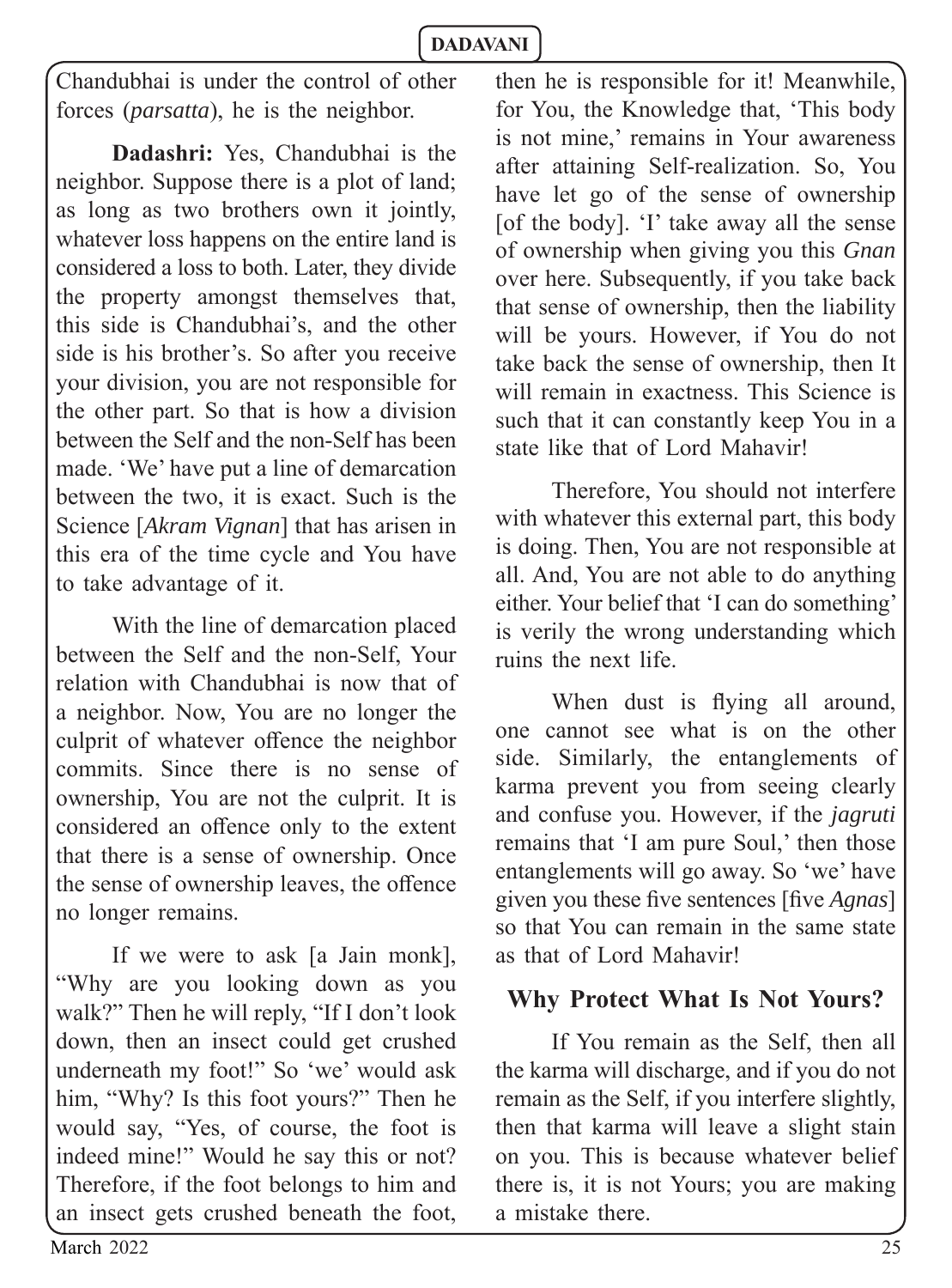Chandubhai is under the control of other forces (*parsatta*), he is the neighbor.

**Dadashri:** Yes, Chandubhai is the neighbor. Suppose there is a plot of land; as long as two brothers own it jointly, whatever loss happens on the entire land is considered a loss to both. Later, they divide the property amongst themselves that, this side is Chandubhai's, and the other side is his brother's. So after you receive your division, you are not responsible for the other part. So that is how a division between the Self and the non-Self has been made. 'We' have put a line of demarcation between the two, it is exact. Such is the Science [*Akram Vignan*] that has arisen in this era of the time cycle and You have to take advantage of it.

With the line of demarcation placed between the Self and the non-Self, Your relation with Chandubhai is now that of a neighbor. Now, You are no longer the culprit of whatever offence the neighbor commits. Since there is no sense of ownership, You are not the culprit. It is considered an offence only to the extent that there is a sense of ownership. Once the sense of ownership leaves, the offence no longer remains.

If we were to ask [a Jain monk], "Why are you looking down as you walk?" Then he will reply, "If I don't look down, then an insect could get crushed underneath my foot!" So 'we' would ask him, "Why? Is this foot yours?" Then he would say, "Yes, of course, the foot is indeed mine!" Would he say this or not? Therefore, if the foot belongs to him and an insect gets crushed beneath the foot,

then he is responsible for it! Meanwhile, for You, the Knowledge that, 'This body is not mine,' remains in Your awareness after attaining Self-realization. So, You have let go of the sense of ownership [of the body]. 'I' take away all the sense of ownership when giving you this *Gnan*  over here. Subsequently, if you take back that sense of ownership, then the liability will be yours. However, if You do not take back the sense of ownership, then It will remain in exactness. This Science is such that it can constantly keep You in a state like that of Lord Mahavir!

Therefore, You should not interfere with whatever this external part, this body is doing. Then, You are not responsible at all. And, You are not able to do anything either. Your belief that 'I can do something' is verily the wrong understanding which ruins the next life.

When dust is flying all around, one cannot see what is on the other side. Similarly, the entanglements of karma prevent you from seeing clearly and confuse you. However, if the *jagruti* remains that 'I am pure Soul,' then those entanglements will go away. So 'we' have given you these five sentences [five *Agnas*] so that You can remain in the same state as that of Lord Mahavir!

#### **Why Protect What Is Not Yours?**

If You remain as the Self, then all the karma will discharge, and if you do not remain as the Self, if you interfere slightly, then that karma will leave a slight stain on you. This is because whatever belief there is, it is not Yours; you are making a mistake there.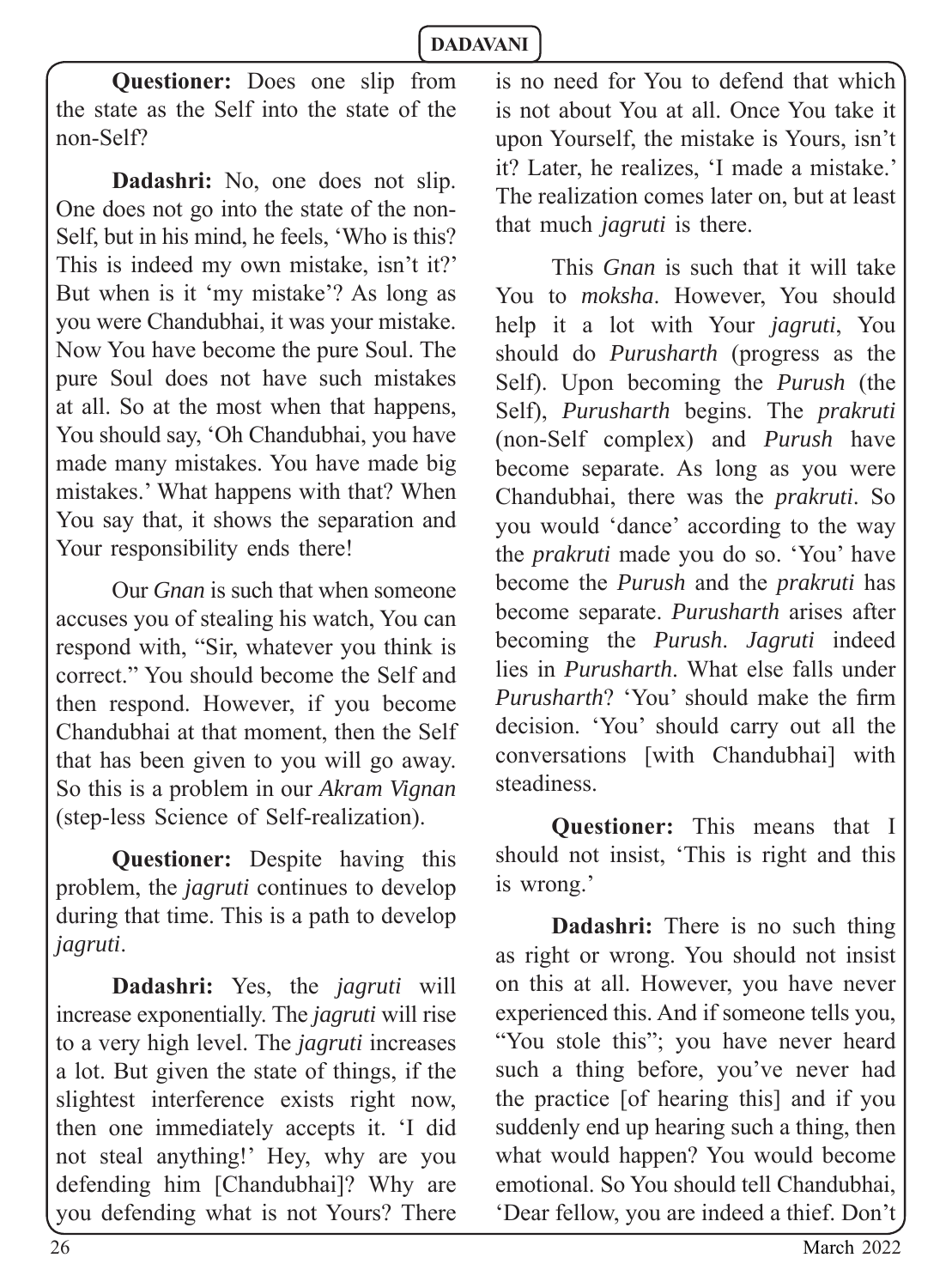**Questioner:** Does one slip from the state as the Self into the state of the non-Self?

**Dadashri:** No, one does not slip. One does not go into the state of the non-Self, but in his mind, he feels, 'Who is this? This is indeed my own mistake, isn't it?' But when is it 'my mistake'? As long as you were Chandubhai, it was your mistake. Now You have become the pure Soul. The pure Soul does not have such mistakes at all. So at the most when that happens, You should say, 'Oh Chandubhai, you have made many mistakes. You have made big mistakes.' What happens with that? When You say that, it shows the separation and Your responsibility ends there!

Our *Gnan* is such that when someone accuses you of stealing his watch, You can respond with, "Sir, whatever you think is correct." You should become the Self and then respond. However, if you become Chandubhai at that moment, then the Self that has been given to you will go away. So this is a problem in our *Akram Vignan*  (step-less Science of Self-realization).

**Questioner:** Despite having this problem, the *jagruti* continues to develop during that time. This is a path to develop *jagruti*.

**Dadashri:** Yes, the *jagruti* will increase exponentially. The *jagruti* will rise to a very high level. The *jagruti* increases a lot. But given the state of things, if the slightest interference exists right now, then one immediately accepts it. 'I did not steal anything!' Hey, why are you defending him [Chandubhai]? Why are you defending what is not Yours? There

is no need for You to defend that which is not about You at all. Once You take it upon Yourself, the mistake is Yours, isn't it? Later, he realizes, 'I made a mistake.' The realization comes later on, but at least that much *jagruti* is there.

This *Gnan* is such that it will take You to *moksha*. However, You should help it a lot with Your *jagruti*, You should do *Purusharth* (progress as the Self). Upon becoming the *Purush* (the Self), *Purusharth* begins. The *prakruti* (non-Self complex) and *Purush* have become separate. As long as you were Chandubhai, there was the *prakruti*. So you would 'dance' according to the way the *prakruti* made you do so. 'You' have become the *Purush* and the *prakruti* has become separate. *Purusharth* arises after becoming the *Purush*. *Jagruti* indeed lies in *Purusharth*. What else falls under *Purusharth*? 'You' should make the firm decision. 'You' should carry out all the conversations [with Chandubhai] with steadiness.

**Questioner:** This means that I should not insist, 'This is right and this is wrong.'

**Dadashri:** There is no such thing as right or wrong. You should not insist on this at all. However, you have never experienced this. And if someone tells you, "You stole this"; you have never heard such a thing before, you've never had the practice [of hearing this] and if you suddenly end up hearing such a thing, then what would happen? You would become emotional. So You should tell Chandubhai, 'Dear fellow, you are indeed a thief. Don't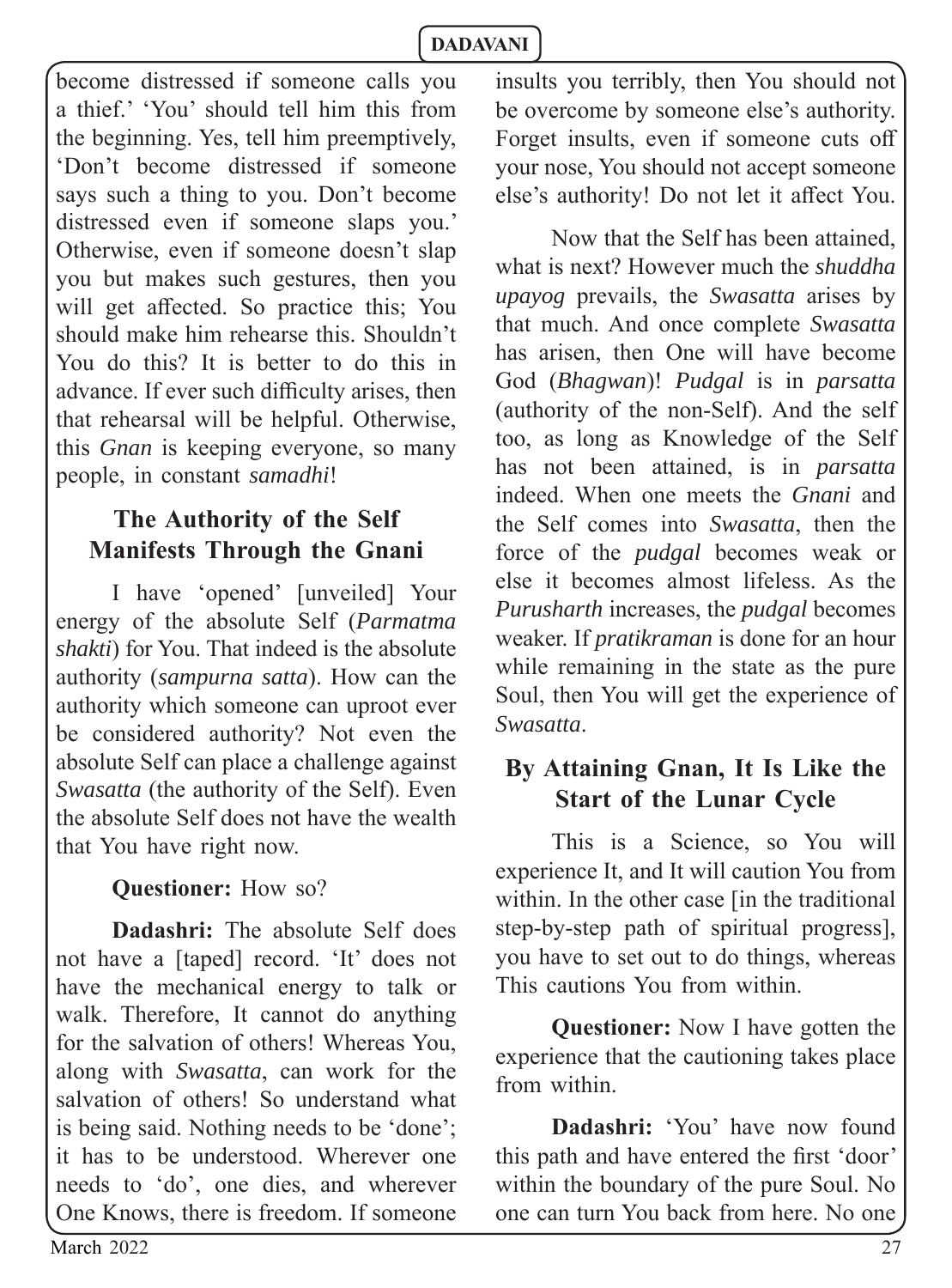become distressed if someone calls you a thief.' 'You' should tell him this from the beginning. Yes, tell him preemptively, 'Don't become distressed if someone says such a thing to you. Don't become distressed even if someone slaps you.' Otherwise, even if someone doesn't slap you but makes such gestures, then you will get affected. So practice this: You should make him rehearse this. Shouldn't You do this? It is better to do this in advance. If ever such difficulty arises, then that rehearsal will be helpful. Otherwise, this *Gnan* is keeping everyone, so many people, in constant *samadhi*!

# **The Authority of the Self Manifests Through the Gnani**

I have 'opened' [unveiled] Your energy of the absolute Self (*Parmatma shakti*) for You. That indeed is the absolute authority (*sampurna satta*). How can the authority which someone can uproot ever be considered authority? Not even the absolute Self can place a challenge against *Swasatta* (the authority of the Self). Even the absolute Self does not have the wealth that You have right now.

**Questioner:** How so?

**Dadashri:** The absolute Self does not have a [taped] record. 'It' does not have the mechanical energy to talk or walk. Therefore, It cannot do anything for the salvation of others! Whereas You, along with *Swasatta*, can work for the salvation of others! So understand what is being said. Nothing needs to be 'done'; it has to be understood. Wherever one needs to 'do', one dies, and wherever One Knows, there is freedom. If someone

insults you terribly, then You should not be overcome by someone else's authority. Forget insults, even if someone cuts off your nose, You should not accept someone else's authority! Do not let it affect You.

Now that the Self has been attained, what is next? However much the *shuddha upayog* prevails, the *Swasatta* arises by that much. And once complete *Swasatta* has arisen, then One will have become God (*Bhagwan*)! *Pudgal* is in *parsatta*  (authority of the non-Self). And the self too, as long as Knowledge of the Self has not been attained, is in *parsatta* indeed. When one meets the *Gnani* and the Self comes into *Swasatta*, then the force of the *pudgal* becomes weak or else it becomes almost lifeless. As the *Purusharth* increases, the *pudgal* becomes weaker. If *pratikraman* is done for an hour while remaining in the state as the pure Soul, then You will get the experience of *Swasatta*.

# **By Attaining Gnan, It Is Like the Start of the Lunar Cycle**

This is a Science, so You will experience It, and It will caution You from within. In the other case *in the traditional* step-by-step path of spiritual progress], you have to set out to do things, whereas This cautions You from within.

**Questioner:** Now I have gotten the experience that the cautioning takes place from within.

**Dadashri:** 'You' have now found this path and have entered the first 'door' within the boundary of the pure Soul. No one can turn You back from here. No one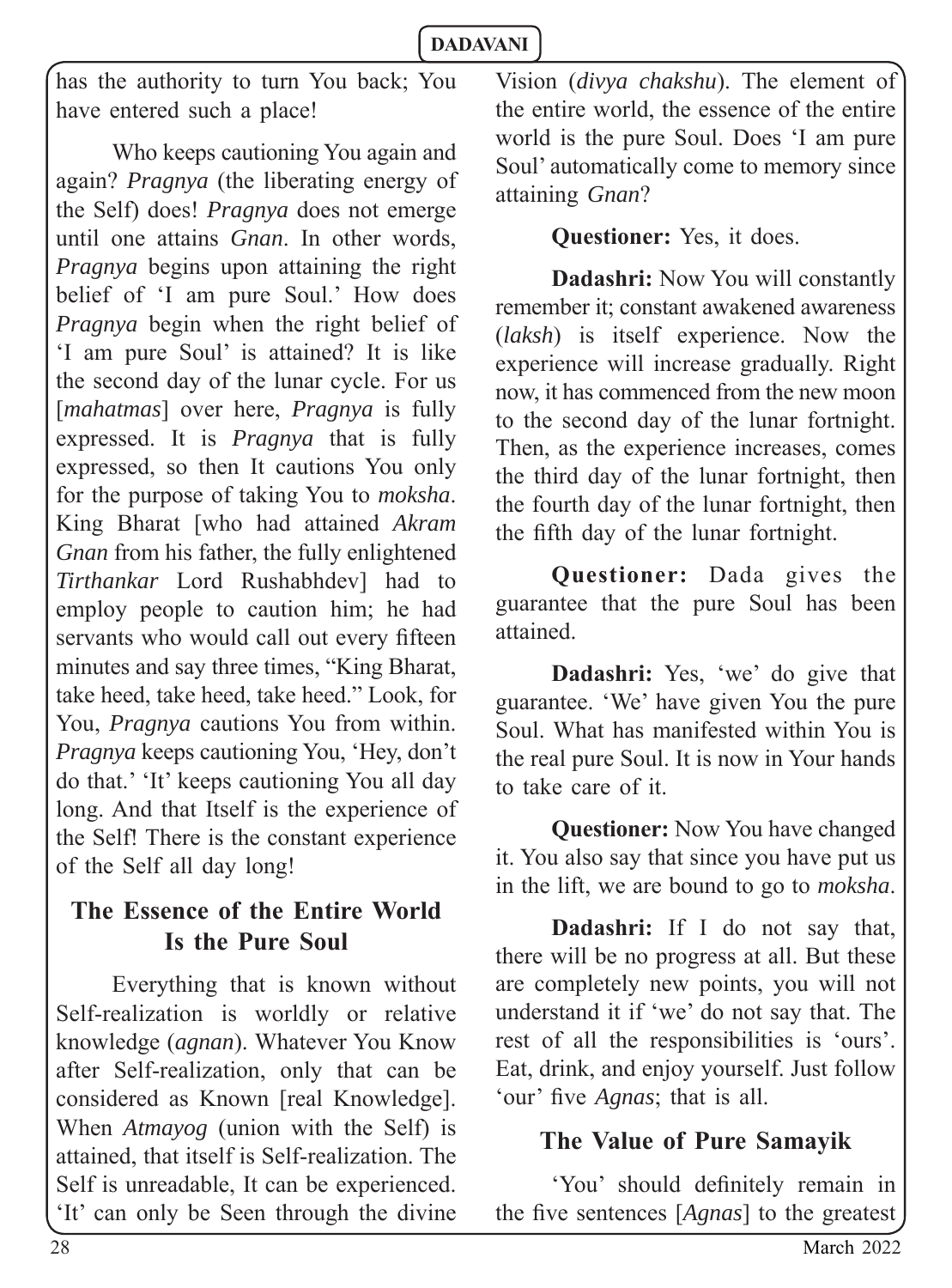has the authority to turn You back; You have entered such a place!

Who keeps cautioning You again and again? *Pragnya* (the liberating energy of the Self) does! *Pragnya* does not emerge until one attains *Gnan*. In other words, *Pragnya* begins upon attaining the right belief of 'I am pure Soul.' How does *Pragnya* begin when the right belief of 'I am pure Soul' is attained? It is like the second day of the lunar cycle. For us [*mahatmas*] over here, *Pragnya* is fully expressed. It is *Pragnya* that is fully expressed, so then It cautions You only for the purpose of taking You to *moksha*. King Bharat [who had attained *Akram Gnan* from his father, the fully enlightened *Tirthankar* Lord Rushabhdev] had to employ people to caution him; he had servants who would call out every fifteen minutes and say three times, "King Bharat, take heed, take heed, take heed." Look, for You, *Pragnya* cautions You from within. *Pragnya* keeps cautioning You, 'Hey, don't do that.' 'It' keeps cautioning You all day long. And that Itself is the experience of the Self! There is the constant experience of the Self all day long!

# **The Essence of the Entire World Is the Pure Soul**

Everything that is known without Self-realization is worldly or relative knowledge (*agnan*). Whatever You Know after Self-realization, only that can be considered as Known [real Knowledge]. When *Atmayog* (union with the Self) is attained, that itself is Self-realization. The Self is unreadable, It can be experienced. 'It' can only be Seen through the divine Vision (*divya chakshu*). The element of the entire world, the essence of the entire world is the pure Soul. Does 'I am pure Soul' automatically come to memory since attaining *Gnan*?

#### **Questioner:** Yes, it does.

**Dadashri:** Now You will constantly remember it; constant awakened awareness (*laksh*) is itself experience. Now the experience will increase gradually. Right now, it has commenced from the new moon to the second day of the lunar fortnight. Then, as the experience increases, comes the third day of the lunar fortnight, then the fourth day of the lunar fortnight, then the fifth day of the lunar fortnight.

**Questioner:** Dada gives the guarantee that the pure Soul has been attained.

**Dadashri:** Yes, 'we' do give that guarantee. 'We' have given You the pure Soul. What has manifested within You is the real pure Soul. It is now in Your hands to take care of it.

**Questioner:** Now You have changed it. You also say that since you have put us in the lift, we are bound to go to *moksha*.

**Dadashri:** If I do not say that, there will be no progress at all. But these are completely new points, you will not understand it if 'we' do not say that. The rest of all the responsibilities is 'ours'. Eat, drink, and enjoy yourself. Just follow 'our' five *Agnas*; that is all.

# **The Value of Pure Samayik**

'You' should definitely remain in the five sentences [Agnas] to the greatest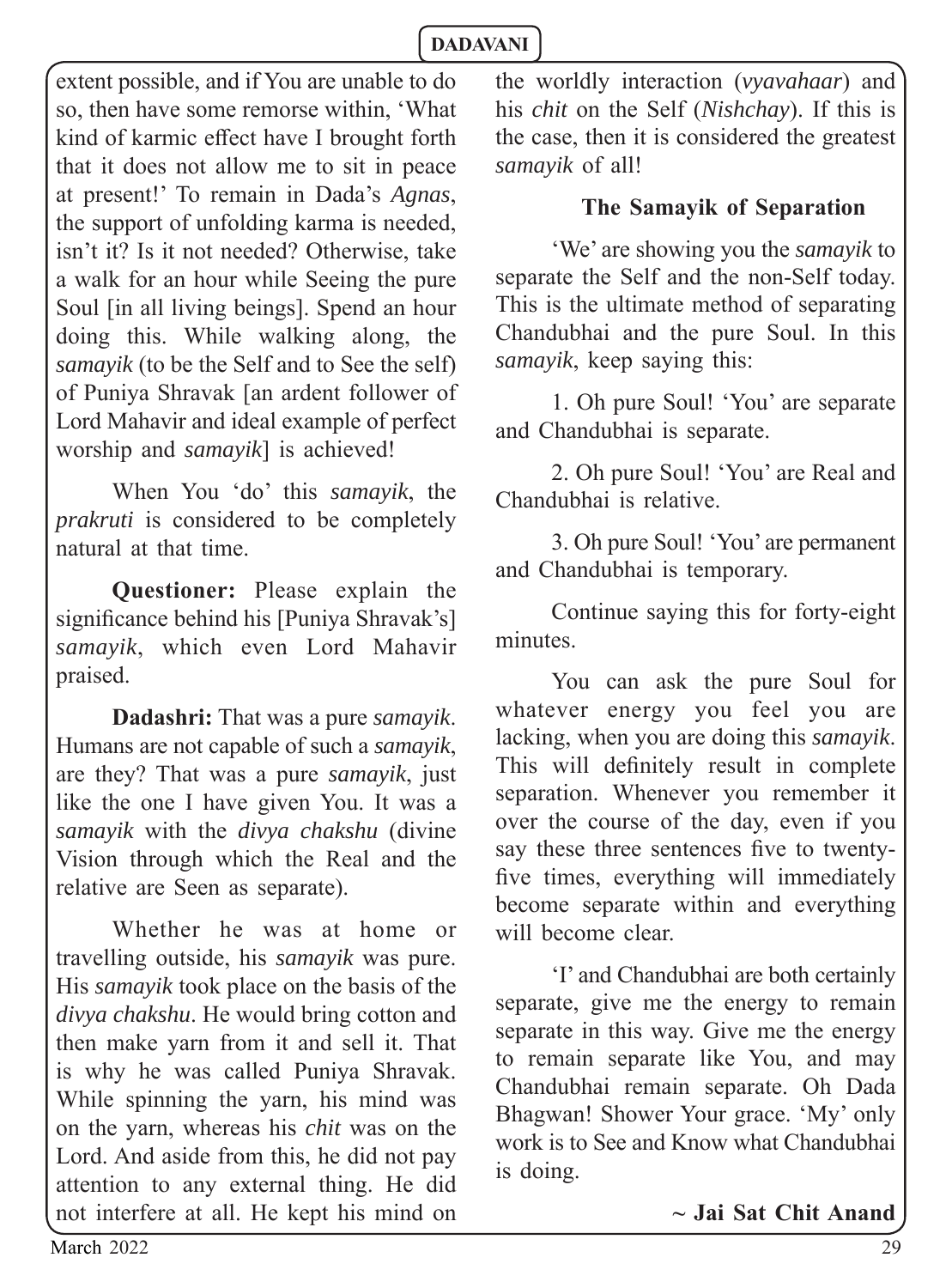extent possible, and if You are unable to do so, then have some remorse within, 'What kind of karmic effect have I brought forth that it does not allow me to sit in peace at present!' To remain in Dada's *Agnas*, the support of unfolding karma is needed, isn't it? Is it not needed? Otherwise, take a walk for an hour while Seeing the pure Soul [in all living beings]. Spend an hour doing this. While walking along, the *samayik* (to be the Self and to See the self) of Puniya Shravak [an ardent follower of Lord Mahavir and ideal example of perfect worship and *samayik*] is achieved!

When You 'do' this *samayik*, the *prakruti* is considered to be completely natural at that time.

**Questioner:** Please explain the significance behind his [Puniya Shravak's] *samayik*, which even Lord Mahavir praised.

**Dadashri:** That was a pure *samayik*. Humans are not capable of such a *samayik*, are they? That was a pure *samayik*, just like the one I have given You. It was a *samayik* with the *divya chakshu* (divine Vision through which the Real and the relative are Seen as separate).

Whether he was at home or travelling outside, his *samayik* was pure. His *samayik* took place on the basis of the *divya chakshu*. He would bring cotton and then make yarn from it and sell it. That is why he was called Puniya Shravak. While spinning the yarn, his mind was on the yarn, whereas his *chit* was on the Lord. And aside from this, he did not pay attention to any external thing. He did not interfere at all. He kept his mind on the worldly interaction (*vyavahaar*) and his *chit* on the Self (*Nishchay*). If this is the case, then it is considered the greatest *samayik* of all!

#### **The Samayik of Separation**

'We' are showing you the *samayik* to separate the Self and the non-Self today. This is the ultimate method of separating Chandubhai and the pure Soul. In this *samayik*, keep saying this:

1. Oh pure Soul! 'You' are separate and Chandubhai is separate.

2. Oh pure Soul! 'You' are Real and Chandubhai is relative.

3. Oh pure Soul! 'You' are permanent and Chandubhai is temporary.

Continue saying this for forty-eight minutes.

You can ask the pure Soul for whatever energy you feel you are lacking, when you are doing this *samayik*. This will definitely result in complete separation. Whenever you remember it over the course of the day, even if you say these three sentences five to twentyfive times, everything will immediately become separate within and everything will become clear.

'I' and Chandubhai are both certainly separate, give me the energy to remain separate in this way. Give me the energy to remain separate like You, and may Chandubhai remain separate. Oh Dada Bhagwan! Shower Your grace. 'My' only work is to See and Know what Chandubhai is doing.

**~ Jai Sat Chit Anand**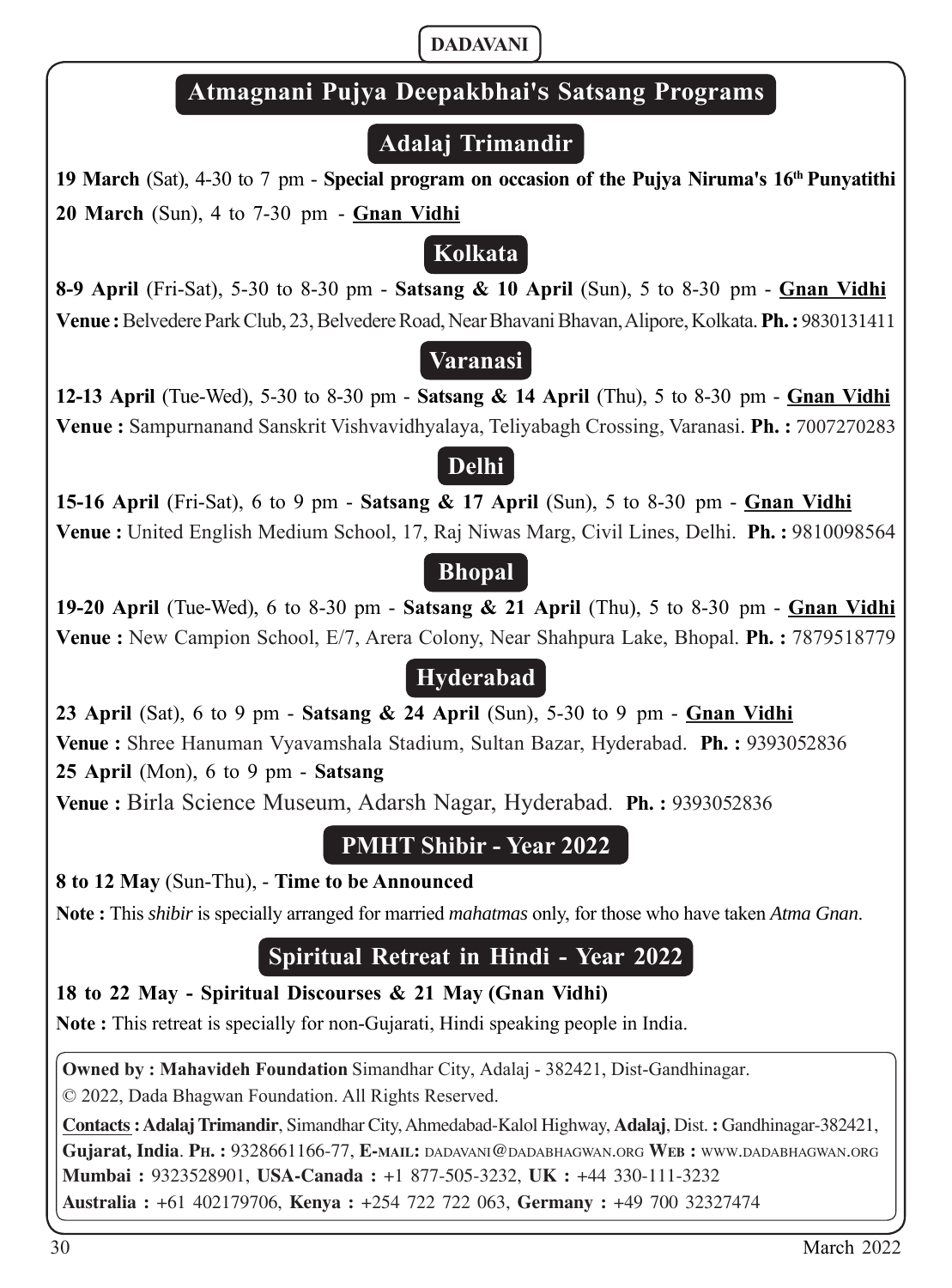# **Atmagnani Pujya Deepakbhai'ඌ Satsang Programs**

# **Adalaj Trimandir**

**19 March** (Sat), 4-30 to 7 pm - **Special program on occasion of the Pujya Niruma's 16th Punyatithi 20 March** (Sun), 4 to 7-30 pm - **Gnan Vidhi**

# **Kolkata**

**8-9 April** (Fri-Sat), 5-30 to 8-30 pm - **Satsang & 10 April** (Sun), 5 to 8-30 pm - **Gnan Vidhi Venue :** Belvedere Park Club, 23, Belvedere Road, Near Bhavani Bhavan, Alipore, Kolkata. **Ph. :** 9830131411

# **Varanasi**

**12-13 April** (Tue-Wed), 5-30 to 8-30 pm - **Satsang & 14 April** (Thu), 5 to 8-30 pm - **Gnan Vidhi Venue :** Sampurnanand Sanskrit Vishvavidhyalaya, Teliyabagh Crossing, Varanasi. **Ph. :** 7007270283

# **Delhi**

**15-16 April** (Fri-Sat), 6 to 9 pm - **Satsang & 17 April** (Sun), 5 to 8-30 pm - **Gnan Vidhi Venue :** United English Medium School, 17, Raj Niwas Marg, Civil Lines, Delhi. **Ph. :** 9810098564

# **Bhopal**

**19-20 April** (Tue-Wed), 6 to 8-30 pm - **Satsang & 21 April** (Thu), 5 to 8-30 pm - **Gnan Vidhi Venue :** New Campion School, E/7, Arera Colony, Near Shahpura Lake, Bhopal. **Ph. :** 7879518779

# **Hyderabad**

**23 April** (Sat), 6 to 9 pm - **Satsang & 24 April** (Sun), 5-30 to 9 pm - **Gnan Vidhi Venue :** Shree Hanuman Vyavamshala Stadium, Sultan Bazar, Hyderabad. **Ph. :** 9393052836 **25 April** (Mon), 6 to 9 pm - **Satsang**

**Venue :** Birla Science Museum, Adarsh Nagar, Hyderabad. **Ph. :** 9393052836

# **PMHT Shibir - Year 2022**

#### **8 to 12 May** (Sun-Thu), - **Time to be Announced**

**Note :** This *shibir* is specially arranged for married *mahatmas* only, for those who have taken *Atma Gnan*.

# **Spiritual Retreat in Hindi - Year 2022**

#### **18 to 22 May - Spiritual Discourses & 21 May (Gnan Vidhi)**

**Note :** This retreat is specially for non-Gujarati, Hindi speaking people in India.

**Owned by : Mahavideh Foundation** Simandhar City, Adalaj - 382421, Dist-Gandhinagar.

© 2022, Dada Bhagwan Foundation. All Rights Reserved.

**Contacts : Adalaj Trimandir**, Simandhar City, Ahmedabad-Kalol Highway, **Adalaj**, Dist. **:** Gandhinagar-382421, **Gujarat, India**. **PH. :** 9328661166-77, **E-MAIL:** DADAVANI@DADABHAGWAN.ORG **WEB :** WWW.DADABHAGWAN.ORG **Mumbai :** 9323528901, **USA-Canada :** +1 877-505-3232, **UK :** +44 330-111-3232 **Australia :** +61 402179706, **Kenya :** +254 722 722 063, **Germany :** +49 700 32327474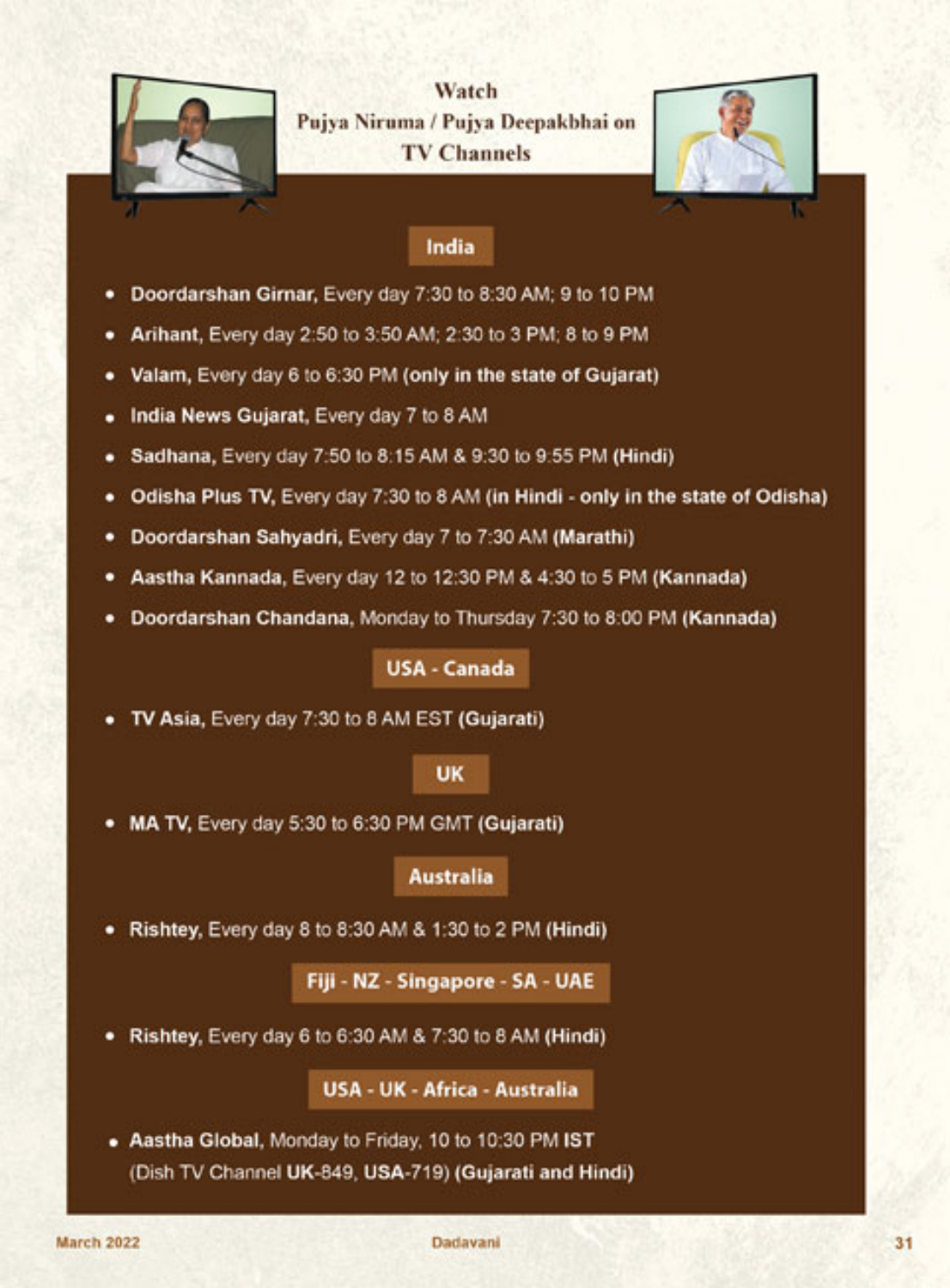

Watch Pujya Niruma / Pujya Deepakbhai on **TV Channels** 



#### India

- Doordarshan Girnar, Every day 7:30 to 8:30 AM; 9 to 10 PM ٠
- Arihant, Every day 2:50 to 3:50 AM; 2:30 to 3 PM; 8 to 9 PM ٠
- Valam, Every day 6 to 6:30 PM (only in the state of Gujarat) ٠
- India News Gujarat, Every day 7 to 8 AM ٠
- Sadhana, Every day 7:50 to 8:15 AM & 9:30 to 9:55 PM (Hindi) ٠
- Odisha Plus TV, Every day 7:30 to 8 AM (in Hindi only in the state of Odisha) ٠
- Doordarshan Sahyadri, Every day 7 to 7:30 AM (Marathi) ٠
- Aastha Kannada, Every day 12 to 12:30 PM & 4:30 to 5 PM (Kannada) ٠
- Doordarshan Chandana, Monday to Thursday 7:30 to 8:00 PM (Kannada) ٠

USA - Canada

TV Asia, Every day 7:30 to 8 AM EST (Gujarati)

#### **UK**

MA TV, Every day 5:30 to 6:30 PM GMT (Gujarati) ٠

#### **Australia**

Rishtey, Every day 8 to 8:30 AM & 1:30 to 2 PM (Hindi) ٠

Fiji - NZ - Singapore - SA - UAE

Rishtey, Every day 6 to 6:30 AM & 7:30 to 8 AM (Hindi) ٠

**USA - UK - Africa - Australia** 

. Aastha Global, Monday to Friday, 10 to 10:30 PM IST (Dish TV Channel UK-849, USA-719) (Gujarati and Hindi)